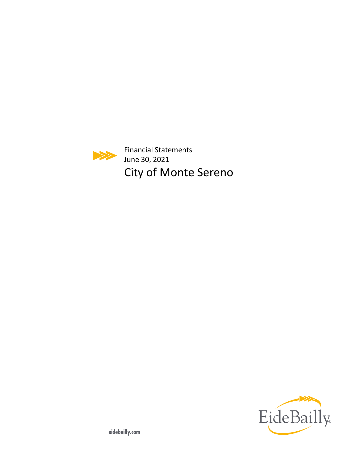

Financial Statements June 30, 2021 City of Monte Sereno

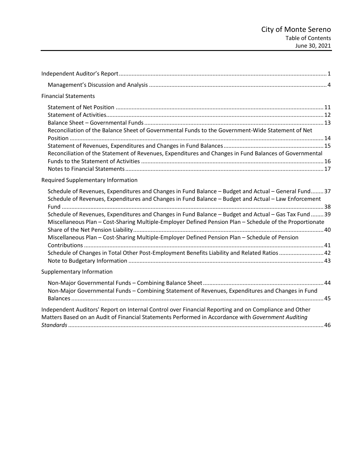| <b>Financial Statements</b>                                                                                                                                                                                                                                                                                                                                                                                                                                                                                                                                                                                                         |
|-------------------------------------------------------------------------------------------------------------------------------------------------------------------------------------------------------------------------------------------------------------------------------------------------------------------------------------------------------------------------------------------------------------------------------------------------------------------------------------------------------------------------------------------------------------------------------------------------------------------------------------|
| Reconciliation of the Balance Sheet of Governmental Funds to the Government-Wide Statement of Net                                                                                                                                                                                                                                                                                                                                                                                                                                                                                                                                   |
| Reconciliation of the Statement of Revenues, Expenditures and Changes in Fund Balances of Governmental                                                                                                                                                                                                                                                                                                                                                                                                                                                                                                                              |
| Required Supplementary Information                                                                                                                                                                                                                                                                                                                                                                                                                                                                                                                                                                                                  |
| Schedule of Revenues, Expenditures and Changes in Fund Balance - Budget and Actual - General Fund 37<br>Schedule of Revenues, Expenditures and Changes in Fund Balance - Budget and Actual - Law Enforcement<br>Schedule of Revenues, Expenditures and Changes in Fund Balance - Budget and Actual - Gas Tax Fund  39<br>Miscellaneous Plan - Cost-Sharing Multiple-Employer Defined Pension Plan - Schedule of the Proportionate<br>Miscellaneous Plan - Cost-Sharing Multiple-Employer Defined Pension Plan - Schedule of Pension<br>Schedule of Changes in Total Other Post-Employment Benefits Liability and Related Ratios  42 |
| Supplementary Information                                                                                                                                                                                                                                                                                                                                                                                                                                                                                                                                                                                                           |
| Non-Major Governmental Funds - Combining Statement of Revenues, Expenditures and Changes in Fund                                                                                                                                                                                                                                                                                                                                                                                                                                                                                                                                    |
| Independent Auditors' Report on Internal Control over Financial Reporting and on Compliance and Other<br>Matters Based on an Audit of Financial Statements Performed in Accordance with Government Auditing                                                                                                                                                                                                                                                                                                                                                                                                                         |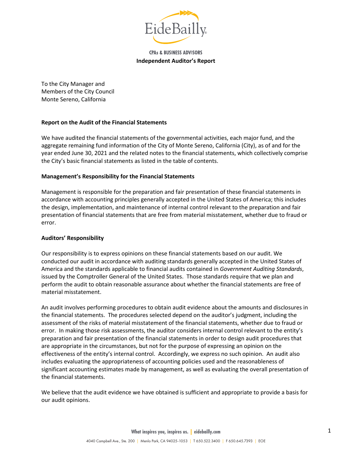

**CPAs & BUSINESS ADVISORS Independent Auditor's Report**

<span id="page-2-0"></span>To the City Manager and Members of the City Council Monte Sereno, California

#### **Report on the Audit of the Financial Statements**

We have audited the financial statements of the governmental activities, each major fund, and the aggregate remaining fund information of the City of Monte Sereno, California (City), as of and for the year ended June 30, 2021 and the related notes to the financial statements, which collectively comprise the City's basic financial statements as listed in the table of contents.

#### **Management's Responsibility for the Financial Statements**

Management is responsible for the preparation and fair presentation of these financial statements in accordance with accounting principles generally accepted in the United States of America; this includes the design, implementation, and maintenance of internal control relevant to the preparation and fair presentation of financial statements that are free from material misstatement, whether due to fraud or error.

#### **Auditors' Responsibility**

Our responsibility is to express opinions on these financial statements based on our audit. We conducted our audit in accordance with auditing standards generally accepted in the United States of America and the standards applicable to financial audits contained in *Government Auditing Standards*, issued by the Comptroller General of the United States. Those standards require that we plan and perform the audit to obtain reasonable assurance about whether the financial statements are free of material misstatement.

An audit involves performing procedures to obtain audit evidence about the amounts and disclosures in the financial statements. The procedures selected depend on the auditor's judgment, including the assessment of the risks of material misstatement of the financial statements, whether due to fraud or error. In making those risk assessments, the auditor considers internal control relevant to the entity's preparation and fair presentation of the financial statements in order to design audit procedures that are appropriate in the circumstances, but not for the purpose of expressing an opinion on the effectiveness of the entity's internal control. Accordingly, we express no such opinion. An audit also includes evaluating the appropriateness of accounting policies used and the reasonableness of significant accounting estimates made by management, as well as evaluating the overall presentation of the financial statements.

We believe that the audit evidence we have obtained is sufficient and appropriate to provide a basis for our audit opinions.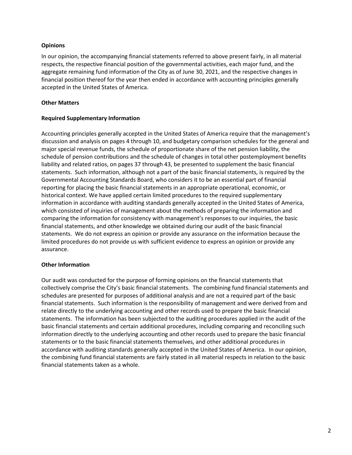#### **Opinions**

In our opinion, the accompanying financial statements referred to above present fairly, in all material respects, the respective financial position of the governmental activities, each major fund, and the aggregate remaining fund information of the City as of June 30, 2021, and the respective changes in financial position thereof for the year then ended in accordance with accounting principles generally accepted in the United States of America.

## **Other Matters**

## **Required Supplementary Information**

Accounting principles generally accepted in the United States of America require that the management's discussion and analysis on pages [4](#page-5-1) through [10,](#page-11-0) and budgetary comparison schedules for the general and major special revenue funds, the schedule of proportionate share of the net pension liability, the schedule of pension contributions and the schedule of changes in total other postemployment benefits liability and related ratios, on pages [37](#page-39-1) through [43,](#page-45-1) be presented to supplement the basic financial statements. Such information, although not a part of the basic financial statements, is required by the Governmental Accounting Standards Board, who considers it to be an essential part of financial reporting for placing the basic financial statements in an appropriate operational, economic, or historical context. We have applied certain limited procedures to the required supplementary information in accordance with auditing standards generally accepted in the United States of America, which consisted of inquiries of management about the methods of preparing the information and comparing the information for consistency with management's responses to our inquiries, the basic financial statements, and other knowledge we obtained during our audit of the basic financial statements. We do not express an opinion or provide any assurance on the information because the limited procedures do not provide us with sufficient evidence to express an opinion or provide any assurance.

## **Other Information**

Our audit was conducted for the purpose of forming opinions on the financial statements that collectively comprise the City's basic financial statements. The combining fund financial statements and schedules are presented for purposes of additional analysis and are not a required part of the basic financial statements. Such information is the responsibility of management and were derived from and relate directly to the underlying accounting and other records used to prepare the basic financial statements. The information has been subjected to the auditing procedures applied in the audit of the basic financial statements and certain additional procedures, including comparing and reconciling such information directly to the underlying accounting and other records used to prepare the basic financial statements or to the basic financial statements themselves, and other additional procedures in accordance with auditing standards generally accepted in the United States of America. In our opinion, the combining fund financial statements are fairly stated in all material respects in relation to the basic financial statements taken as a whole.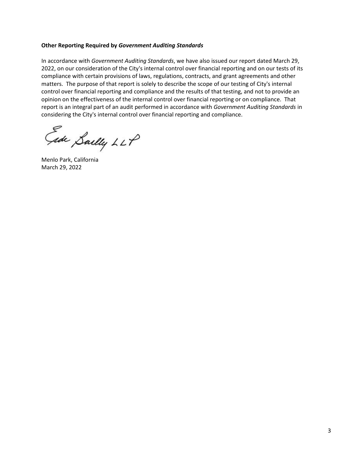#### **Other Reporting Required by** *Government Auditing Standards*

In accordance with *Government Auditing Standards*, we have also issued our report dated March 29, 2022, on our consideration of the City's internal control over financial reporting and on our tests of its compliance with certain provisions of laws, regulations, contracts, and grant agreements and other matters. The purpose of that report is solely to describe the scope of our testing of City's internal control over financial reporting and compliance and the results of that testing, and not to provide an opinion on the effectiveness of the internal control over financial reporting or on compliance. That report is an integral part of an audit performed in accordance with *Government Auditing Standards* in considering the City's internal control over financial reporting and compliance.

Eade Sailly LLP

Menlo Park, California March 29, 2022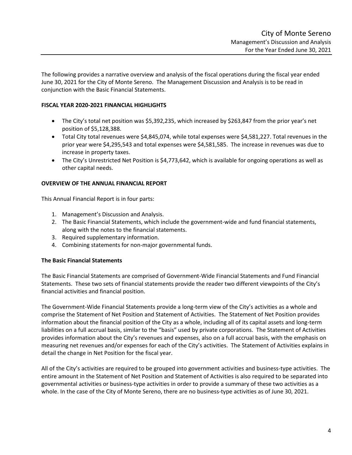<span id="page-5-1"></span><span id="page-5-0"></span>The following provides a narrative overview and analysis of the fiscal operations during the fiscal year ended June 30, 2021 for the City of Monte Sereno. The Management Discussion and Analysis is to be read in conjunction with the Basic Financial Statements.

## **FISCAL YEAR 2020-2021 FINANCIAL HIGHLIGHTS**

- The City's total net position was \$5,392,235, which increased by \$263,847 from the prior year's net position of \$5,128,388.
- Total City total revenues were \$4,845,074, while total expenses were \$4,581,227. Total revenues in the prior year were \$4,295,543 and total expenses were \$4,581,585. The increase in revenues was due to increase in property taxes.
- The City's Unrestricted Net Position is \$4,773,642, which is available for ongoing operations as well as other capital needs.

## **OVERVIEW OF THE ANNUAL FINANCIAL REPORT**

This Annual Financial Report is in four parts:

- 1. Management's Discussion and Analysis.
- 2. The Basic Financial Statements, which include the government-wide and fund financial statements, along with the notes to the financial statements.
- 3. Required supplementary information.
- 4. Combining statements for non-major governmental funds.

## **The Basic Financial Statements**

The Basic Financial Statements are comprised of Government-Wide Financial Statements and Fund Financial Statements. These two sets of financial statements provide the reader two different viewpoints of the City's financial activities and financial position.

The Government-Wide Financial Statements provide a long-term view of the City's activities as a whole and comprise the Statement of Net Position and Statement of Activities. The Statement of Net Position provides information about the financial position of the City as a whole, including all of its capital assets and long-term liabilities on a full accrual basis, similar to the "basis" used by private corporations. The Statement of Activities provides information about the City's revenues and expenses, also on a full accrual basis, with the emphasis on measuring net revenues and/or expenses for each of the City's activities. The Statement of Activities explains in detail the change in Net Position for the fiscal year.

All of the City's activities are required to be grouped into government activities and business-type activities. The entire amount in the Statement of Net Position and Statement of Activities is also required to be separated into governmental activities or business-type activities in order to provide a summary of these two activities as a whole. In the case of the City of Monte Sereno, there are no business-type activities as of June 30, 2021.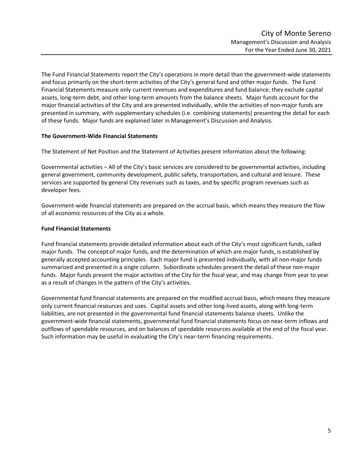The Fund Financial Statements report the City's operations in more detail than the government-wide statements and focus primarily on the short-term activities of the City's general fund and other major funds. The Fund Financial Statements measure only current revenues and expenditures and fund balance; they exclude capital assets, long-term debt, and other long-term amounts from the balance sheets. Major funds account for the major financial activities of the City and are presented individually, while the activities of non-major funds are presented in summary, with supplementary schedules (i.e. combining statements) presenting the detail for each of these funds. Major funds are explained later in Management's Discussion and Analysis.

## **The Government-Wide Financial Statements**

The Statement of Net Position and the Statement of Activities present information about the following:

Governmental activities – All of the City's basic services are considered to be governmental activities, including general government, community development, public safety, transportation, and cultural and leisure. These services are supported by general City revenues such as taxes, and by specific program revenues such as developer fees.

Government-wide financial statements are prepared on the accrual basis, which means they measure the flow of all economic resources of the City as a whole.

#### **Fund Financial Statements**

Fund financial statements provide detailed information about each of the City's most significant funds, called major funds. The concept of major funds, and the determination of which are major funds, is established by generally accepted accounting principles. Each major fund is presented individually, with all non-major funds summarized and presented in a single column. Subordinate schedules present the detail of these non-major funds. Major funds present the major activities of the City for the fiscal year, and may change from year to year as a result of changes in the pattern of the City's activities.

Governmental fund financial statements are prepared on the modified accrual basis, which means they measure only current financial resources and uses. Capital assets and other long-lived assets, along with long-term liabilities, are not presented in the governmental fund financial statements balance sheets. Unlike the government-wide financial statements, governmental fund financial statements focus on near-term inflows and outflows of spendable resources, and on balances of spendable resources available at the end of the fiscal year. Such information may be useful in evaluating the City's near-term financing requirements.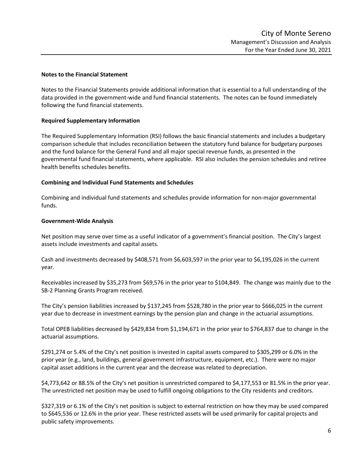#### **Notes to the Financial Statement**

Notes to the Financial Statements provide additional information that is essential to a full understanding of the data provided in the government-wide and fund financial statements. The notes can be found immediately following the fund financial statements.

## **Required Supplementary Information**

The Required Supplementary Information (RSI) follows the basic financial statements and includes a budgetary comparison schedule that includes reconciliation between the statutory fund balance for budgetary purposes and the fund balance for the General Fund and all major special revenue funds, as presented in the governmental fund financial statements, where applicable. RSI also includes the pension schedules and retiree health benefits schedules benefits.

## **Combining and Individual Fund Statements and Schedules**

Combining and individual fund statements and schedules provide information for non-major governmental funds.

## **Government-Wide Analysis**

Net position may serve over time as a useful indicator of a government's financial position. The City's largest assets include investments and capital assets.

Cash and investments decreased by \$408,571 from \$6,603,597 in the prior year to \$6,195,026 in the current year.

Receivables increased by \$35,273 from \$69,576 in the prior year to \$104,849. The change was mainly due to the SB-2 Planning Grants Program received.

The City's pension liabilities increased by \$137,245 from \$528,780 in the prior year to \$666,025 in the current year due to decrease in investment earnings by the pension plan and change in the actuarial assumptions.

Total OPEB liabilities decreased by \$429,834 from \$1,194,671 in the prior year to \$764,837 due to change in the actuarial assumptions.

\$291,274 or 5.4% of the City's net position is invested in capital assets compared to \$305,299 or 6.0% in the prior year (e.g., land, buildings, general government infrastructure, equipment, etc.). There were no major capital asset additions in the current year and the decrease was related to depreciation.

\$4,773,642 or 88.5% of the City's net position is unrestricted compared to \$4,177,553 or 81.5% in the prior year. The unrestricted net position may be used to fulfill ongoing obligations to the City residents and creditors.

\$327,319 or 6.1% of the City's net position is subject to external restriction on how they may be used compared to \$645,536 or 12.6% in the prior year. These restricted assets will be used primarily for capital projects and public safety improvements.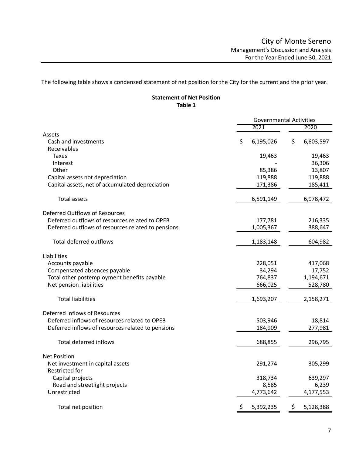The following table shows a condensed statement of net position for the City for the current and the prior year.

## **Statement of Net Position Table 1**

|                                                    |                 | <b>Governmental Activities</b> |
|----------------------------------------------------|-----------------|--------------------------------|
|                                                    | 2021            | 2020                           |
| Assets                                             |                 |                                |
| Cash and investments                               | \$<br>6,195,026 | 6,603,597<br>\$                |
| Receivables                                        |                 |                                |
| Taxes                                              | 19,463          | 19,463                         |
| Interest                                           |                 | 36,306                         |
| Other                                              | 85,386          | 13,807                         |
| Capital assets not depreciation                    | 119,888         | 119,888                        |
| Capital assets, net of accumulated depreciation    | 171,386         | 185,411                        |
| Total assets                                       | 6,591,149       | 6,978,472                      |
| Deferred Outflows of Resources                     |                 |                                |
| Deferred outflows of resources related to OPEB     | 177,781         | 216,335                        |
| Deferred outflows of resources related to pensions | 1,005,367       | 388,647                        |
| Total deferred outflows                            | 1,183,148       | 604,982                        |
| Liabilities                                        |                 |                                |
| Accounts payable                                   | 228,051         | 417,068                        |
| Compensated absences payable                       | 34,294          | 17,752                         |
| Total other postemployment benefits payable        | 764,837         | 1,194,671                      |
| Net pension liabilities                            | 666,025         | 528,780                        |
| <b>Total liabilities</b>                           | 1,693,207       | 2,158,271                      |
| Deferred Inflows of Resources                      |                 |                                |
| Deferred inflows of resources related to OPEB      | 503,946         | 18,814                         |
| Deferred inflows of resources related to pensions  | 184,909         | 277,981                        |
|                                                    |                 |                                |
| <b>Total deferred inflows</b>                      | 688,855         | 296,795                        |
| <b>Net Position</b>                                |                 |                                |
| Net investment in capital assets                   | 291,274         | 305,299                        |
| Restricted for                                     |                 |                                |
| Capital projects                                   | 318,734         | 639,297                        |
| Road and streetlight projects                      | 8,585           | 6,239                          |
| Unrestricted                                       | 4,773,642       | 4,177,553                      |
| Total net position                                 | \$<br>5,392,235 | \$<br>5,128,388                |
|                                                    |                 |                                |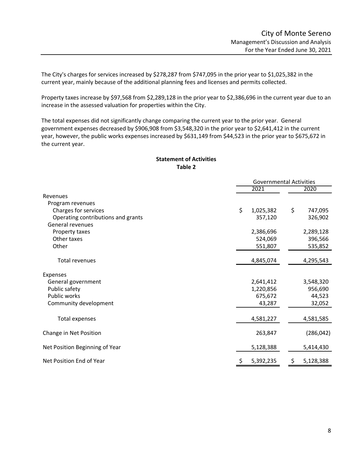The City's charges for services increased by \$278,287 from \$747,095 in the prior year to \$1,025,382 in the current year, mainly because of the additional planning fees and licenses and permits collected.

Property taxes increase by \$97,568 from \$2,289,128 in the prior year to \$2,386,696 in the current year due to an increase in the assessed valuation for properties within the City.

The total expenses did not significantly change comparing the current year to the prior year. General government expenses decreased by \$906,908 from \$3,548,320 in the prior year to \$2,641,412 in the current year, however, the public works expenses increased by \$631,149 from \$44,523 in the prior year to \$675,672 in the current year.

## **Statement of Activities Table 2**

|                                    |    | <b>Governmental Activities</b> |    |            |  |  |
|------------------------------------|----|--------------------------------|----|------------|--|--|
|                                    |    | 2021                           |    | 2020       |  |  |
| Revenues                           |    |                                |    |            |  |  |
| Program revenues                   |    |                                |    |            |  |  |
| Charges for services               | \$ | 1,025,382                      | \$ | 747,095    |  |  |
| Operating contributions and grants |    | 357,120                        |    | 326,902    |  |  |
| General revenues                   |    |                                |    |            |  |  |
| Property taxes                     |    | 2,386,696                      |    | 2,289,128  |  |  |
| Other taxes                        |    | 524,069                        |    | 396,566    |  |  |
| Other                              |    | 551,807                        |    | 535,852    |  |  |
|                                    |    |                                |    |            |  |  |
| <b>Total revenues</b>              |    | 4,845,074                      |    | 4,295,543  |  |  |
|                                    |    |                                |    |            |  |  |
| Expenses                           |    |                                |    |            |  |  |
| General government                 |    | 2,641,412                      |    | 3,548,320  |  |  |
| Public safety                      |    | 1,220,856                      |    | 956,690    |  |  |
| Public works                       |    | 675,672                        |    | 44,523     |  |  |
| Community development              |    | 43,287                         |    | 32,052     |  |  |
|                                    |    |                                |    |            |  |  |
| Total expenses                     |    | 4,581,227                      |    | 4,581,585  |  |  |
| Change in Net Position             |    | 263,847                        |    | (286, 042) |  |  |
|                                    |    |                                |    |            |  |  |
| Net Position Beginning of Year     |    | 5,128,388                      |    | 5,414,430  |  |  |
| Net Position End of Year           | Ş  | 5,392,235                      | \$ | 5,128,388  |  |  |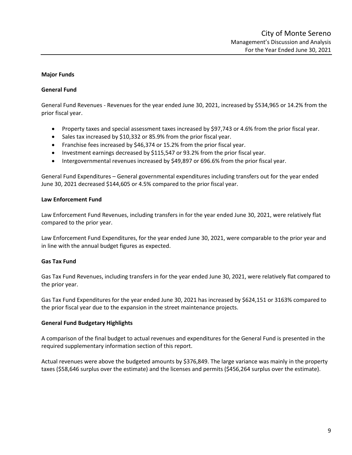#### **Major Funds**

#### **General Fund**

General Fund Revenues - Revenues for the year ended June 30, 2021, increased by \$534,965 or 14.2% from the prior fiscal year.

- Property taxes and special assessment taxes increased by \$97,743 or 4.6% from the prior fiscal year.
- Sales tax increased by \$10,332 or 85.9% from the prior fiscal year.
- Franchise fees increased by \$46,374 or 15.2% from the prior fiscal year.
- Investment earnings decreased by \$115,547 or 93.2% from the prior fiscal year.
- Intergovernmental revenues increased by \$49,897 or 696.6% from the prior fiscal year.

General Fund Expenditures – General governmental expenditures including transfers out for the year ended June 30, 2021 decreased \$144,605 or 4.5% compared to the prior fiscal year.

#### **Law Enforcement Fund**

Law Enforcement Fund Revenues, including transfers in for the year ended June 30, 2021, were relatively flat compared to the prior year.

Law Enforcement Fund Expenditures, for the year ended June 30, 2021, were comparable to the prior year and in line with the annual budget figures as expected.

#### **Gas Tax Fund**

Gas Tax Fund Revenues, including transfers in for the year ended June 30, 2021, were relatively flat compared to the prior year.

Gas Tax Fund Expenditures for the year ended June 30, 2021 has increased by \$624,151 or 3163% compared to the prior fiscal year due to the expansion in the street maintenance projects.

#### **General Fund Budgetary Highlights**

A comparison of the final budget to actual revenues and expenditures for the General Fund is presented in the required supplementary information section of this report.

Actual revenues were above the budgeted amounts by \$376,849. The large variance was mainly in the property taxes (\$58,646 surplus over the estimate) and the licenses and permits (\$456,264 surplus over the estimate).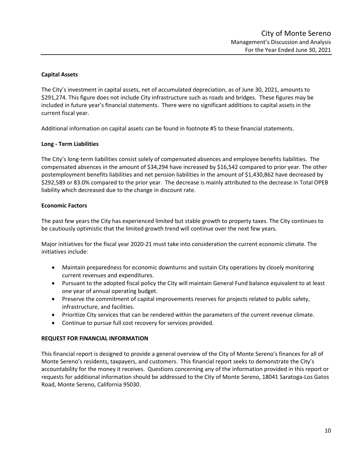## <span id="page-11-0"></span>**Capital Assets**

The City's investment in capital assets, net of accumulated depreciation, as of June 30, 2021, amounts to \$291,274. This figure does not include City infrastructure such as roads and bridges. These figures may be included in future year's financial statements. There were no significant additions to capital assets in the current fiscal year.

Additional information on capital assets can be found in footnote #5 to these financial statements.

## **Long - Term Liabilities**

The City's long-term liabilities consist solely of compensated absences and employee benefits liabilities. The compensated absences in the amount of \$34,294 have increased by \$16,542 compared to prior year. The other postemployment benefits liabilities and net pension liabilities in the amount of \$1,430,862 have decreased by \$292,589 or 83.0% compared to the prior year. The decrease is mainly attributed to the decrease in Total OPEB liability which decreased due to the change in discount rate.

## **Economic Factors**

The past few years the City has experienced limited but stable growth to property taxes. The City continues to be cautiously optimistic that the limited growth trend will continue over the next few years.

Major initiatives for the fiscal year 2020-21 must take into consideration the current economic climate. The initiatives include:

- Maintain preparedness for economic downturns and sustain City operations by closely monitoring current revenues and expenditures.
- Pursuant to the adopted fiscal policy the City will maintain General Fund balance equivalent to at least one year of annual operating budget.
- Preserve the commitment of capital improvements reserves for projects related to public safety, infrastructure, and facilities.
- Prioritize City services that can be rendered within the parameters of the current revenue climate.
- Continue to pursue full cost recovery for services provided.

#### **REQUEST FOR FINANCIAL INFORMATION**

This financial report is designed to provide a general overview of the City of Monte Sereno's finances for all of Monte Sereno's residents, taxpayers, and customers. This financial report seeks to demonstrate the City's accountability for the money it receives. Questions concerning any of the information provided in this report or requests for additional information should be addressed to the City of Monte Sereno, 18041 Saratoga-Los Gatos Road, Monte Sereno, California 95030.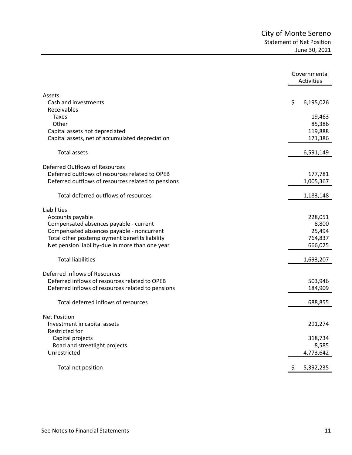<span id="page-12-1"></span><span id="page-12-0"></span>

|                                                    | Governmental<br>Activities |
|----------------------------------------------------|----------------------------|
| Assets                                             |                            |
| Cash and investments                               | \$<br>6,195,026            |
| Receivables                                        |                            |
| <b>Taxes</b>                                       | 19,463                     |
| Other                                              | 85,386                     |
| Capital assets not depreciated                     | 119,888                    |
| Capital assets, net of accumulated depreciation    | 171,386                    |
| Total assets                                       | 6,591,149                  |
| <b>Deferred Outflows of Resources</b>              |                            |
| Deferred outflows of resources related to OPEB     | 177,781                    |
| Deferred outflows of resources related to pensions | 1,005,367                  |
| Total deferred outflows of resources               | 1,183,148                  |
| Liabilities                                        |                            |
| Accounts payable                                   | 228,051                    |
| Compensated absences payable - current             | 8,800                      |
| Compensated absences payable - noncurrent          | 25,494                     |
| Total other postemployment benefits liability      | 764,837                    |
| Net pension liability-due in more than one year    | 666,025                    |
| <b>Total liabilities</b>                           | 1,693,207                  |
| Deferred Inflows of Resources                      |                            |
| Deferred inflows of resources related to OPEB      | 503,946                    |
| Deferred inflows of resources related to pensions  | 184,909                    |
| Total deferred inflows of resources                | 688,855                    |
| <b>Net Position</b>                                |                            |
| Investment in capital assets                       | 291,274                    |
| Restricted for                                     |                            |
| Capital projects                                   | 318,734                    |
| Road and streetlight projects                      | 8,585                      |
| Unrestricted                                       | 4,773,642                  |
| Total net position                                 | \$<br>5,392,235            |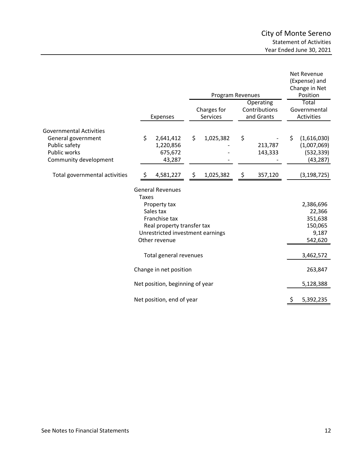<span id="page-13-0"></span>

|                                                                                                                                          |              |                                                                                                                                                          | Program Revenues |                                                      |          |                               |                            | Net Revenue<br>(Expense) and<br>Change in Net<br>Position<br>Total     |
|------------------------------------------------------------------------------------------------------------------------------------------|--------------|----------------------------------------------------------------------------------------------------------------------------------------------------------|------------------|------------------------------------------------------|----------|-------------------------------|----------------------------|------------------------------------------------------------------------|
|                                                                                                                                          |              | Charges for<br>Expenses                                                                                                                                  |                  | Operating<br>Contributions<br>Services<br>and Grants |          |                               | Governmental<br>Activities |                                                                        |
| Governmental Activities<br>General government<br>Public safety<br>Public works<br>Community development<br>Total governmental activities | \$<br>\$     | 2,641,412<br>1,220,856<br>675,672<br>43,287<br>4,581,227                                                                                                 | \$<br>\$         | 1,025,382<br>1,025,382                               | \$<br>\$ | 213,787<br>143,333<br>357,120 | \$                         | (1,616,030)<br>(1,007,069)<br>(532, 339)<br>(43, 287)<br>(3, 198, 725) |
|                                                                                                                                          | <b>Taxes</b> | <b>General Revenues</b><br>Property tax<br>Sales tax<br>Franchise tax<br>Real property transfer tax<br>Unrestricted investment earnings<br>Other revenue |                  |                                                      |          |                               |                            | 2,386,696<br>22,366<br>351,638<br>150,065<br>9,187<br>542,620          |
|                                                                                                                                          |              | Total general revenues<br>Change in net position                                                                                                         |                  |                                                      |          |                               |                            | 3,462,572<br>263,847                                                   |
|                                                                                                                                          |              | Net position, beginning of year<br>Net position, end of year                                                                                             |                  |                                                      |          |                               | \$                         | 5,128,388<br>5,392,235                                                 |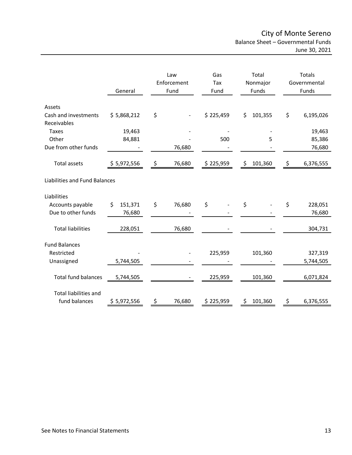Balance Sheet – Governmental Funds

June 30, 2021

<span id="page-14-0"></span>

|                                               | General       | Law<br>Enforcement<br>Fund |        | Gas<br>Tax<br>Fund | Total<br>Nonmajor<br>Funds |     | <b>Totals</b><br>Governmental<br>Funds |
|-----------------------------------------------|---------------|----------------------------|--------|--------------------|----------------------------|-----|----------------------------------------|
| Assets                                        |               |                            |        |                    |                            |     |                                        |
| Cash and investments<br>Receivables           | \$5,868,212   | \$                         |        | \$225,459          | \$<br>101,355              | \$  | 6,195,026                              |
| <b>Taxes</b>                                  | 19,463        |                            |        |                    |                            |     | 19,463                                 |
| Other                                         | 84,881        |                            |        | 500                | 5                          |     | 85,386                                 |
| Due from other funds                          |               |                            | 76,680 |                    |                            |     | 76,680                                 |
| <b>Total assets</b>                           | \$5,972,556   | \$                         | 76,680 | \$225,959          | \$<br>101,360              | -\$ | 6,376,555                              |
| Liabilities and Fund Balances                 |               |                            |        |                    |                            |     |                                        |
| Liabilities                                   |               |                            |        |                    |                            |     |                                        |
| Accounts payable                              | 151,371<br>\$ | \$                         | 76,680 | \$                 | \$                         | \$  | 228,051                                |
| Due to other funds                            | 76,680        |                            |        |                    |                            |     | 76,680                                 |
| <b>Total liabilities</b>                      | 228,051       |                            | 76,680 |                    |                            |     |                                        |
|                                               |               |                            |        |                    |                            |     | 304,731                                |
| <b>Fund Balances</b>                          |               |                            |        |                    |                            |     |                                        |
| Restricted                                    |               |                            |        | 225,959            | 101,360                    |     | 327,319                                |
| Unassigned                                    | 5,744,505     |                            |        |                    |                            |     | 5,744,505                              |
| <b>Total fund balances</b>                    | 5,744,505     |                            |        | 225,959            | 101,360                    |     | 6,071,824                              |
| <b>Total liabilities and</b><br>fund balances | \$5,972,556   | \$                         | 76,680 | \$225,959          | \$<br>101,360              | \$  | 6,376,555                              |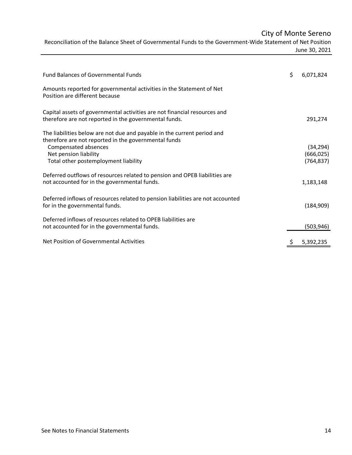<span id="page-15-0"></span>Reconciliation of the Balance Sheet of Governmental Funds to the Government-Wide Statement of Net Position

June 30, 2021

| <b>Fund Balances of Governmental Funds</b>                                                                                                                                                                               | \$<br>6,071,824                       |
|--------------------------------------------------------------------------------------------------------------------------------------------------------------------------------------------------------------------------|---------------------------------------|
| Amounts reported for governmental activities in the Statement of Net<br>Position are different because                                                                                                                   |                                       |
| Capital assets of governmental activities are not financial resources and<br>therefore are not reported in the governmental funds.                                                                                       | 291,274                               |
| The liabilities below are not due and payable in the current period and<br>therefore are not reported in the governmental funds<br>Compensated absences<br>Net pension liability<br>Total other postemployment liability | (34, 294)<br>(666, 025)<br>(764, 837) |
| Deferred outflows of resources related to pension and OPEB liabilities are<br>not accounted for in the governmental funds.                                                                                               | 1,183,148                             |
| Deferred inflows of resources related to pension liabilities are not accounted<br>for in the governmental funds.                                                                                                         | (184,909)                             |
| Deferred inflows of resources related to OPEB liabilities are<br>not accounted for in the governmental funds.                                                                                                            | (503, 946)                            |
| Net Position of Governmental Activities                                                                                                                                                                                  | 5,392,235                             |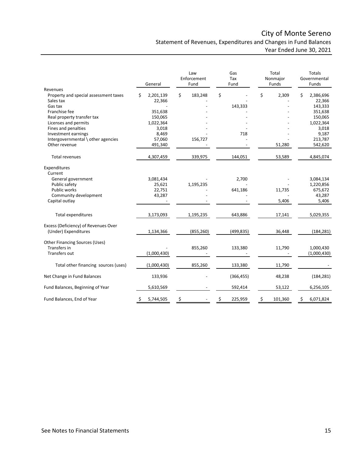Statement of Revenues, Expenditures and Changes in Fund Balances Year Ended June 30, 2021

<span id="page-16-0"></span>

|                                                | General         | Law<br>Enforcement<br>Fund | Gas<br>Tax<br>Fund | Total<br>Nonmajor<br>Funds |    | Totals<br>Governmental<br>Funds |
|------------------------------------------------|-----------------|----------------------------|--------------------|----------------------------|----|---------------------------------|
| Revenues                                       |                 |                            |                    |                            |    |                                 |
| Property and special assessment taxes          | \$<br>2,201,139 | \$<br>183,248              | \$                 | \$<br>2,309                | Ś. | 2,386,696                       |
| Sales tax<br>Gas tax                           | 22,366          |                            | 143,333            |                            |    | 22,366<br>143,333               |
| Franchise fee                                  | 351,638         |                            |                    |                            |    | 351,638                         |
| Real property transfer tax                     | 150,065         |                            |                    |                            |    | 150,065                         |
| Licenses and permits                           | 1,022,364       |                            |                    |                            |    | 1,022,364                       |
| Fines and penalties                            | 3,018           |                            |                    |                            |    | 3,018                           |
| Investment earnings                            | 8,469           |                            | 718                |                            |    | 9,187                           |
| Intergovernmental \ other agencies             | 57,060          | 156,727                    |                    |                            |    | 213,787                         |
| Other revenue                                  | 491,340         |                            |                    | 51,280                     |    | 542,620                         |
| Total revenues                                 | 4,307,459       | 339,975                    | 144,051            | 53,589                     |    | 4,845,074                       |
| Expenditures                                   |                 |                            |                    |                            |    |                                 |
| Current                                        |                 |                            |                    |                            |    |                                 |
| General government                             | 3,081,434       |                            | 2,700              |                            |    | 3,084,134                       |
| Public safety                                  | 25,621          | 1,195,235                  |                    |                            |    | 1,220,856                       |
| Public works                                   | 22,751          |                            | 641,186            | 11,735                     |    | 675,672                         |
| Community development                          | 43,287          |                            |                    |                            |    | 43,287                          |
| Capital outlay                                 |                 |                            |                    | 5,406                      |    | 5,406                           |
| <b>Total expenditures</b>                      | 3,173,093       | 1,195,235                  | 643,886            | 17,141                     |    | 5,029,355                       |
| Excess (Deficiency) of Revenues Over           |                 |                            |                    |                            |    |                                 |
| (Under) Expenditures                           | 1,134,366       | (855, 260)                 | (499, 835)         | 36,448                     |    | (184, 281)                      |
| Other Financing Sources (Uses)<br>Transfers in |                 | 855,260                    | 133,380            | 11,790                     |    | 1,000,430                       |
| Transfers out                                  | (1,000,430)     |                            |                    |                            |    | (1,000,430)                     |
| Total other financing sources (uses)           | (1,000,430)     | 855,260                    | 133,380            | 11,790                     |    |                                 |
| Net Change in Fund Balances                    | 133,936         |                            | (366, 455)         | 48,238                     |    | (184, 281)                      |
| Fund Balances, Beginning of Year               | 5,610,569       |                            | 592,414            | 53,122                     |    | 6,256,105                       |
| Fund Balances, End of Year                     | \$<br>5,744,505 | \$                         | \$<br>225,959      | \$<br>101,360              | \$ | 6,071,824                       |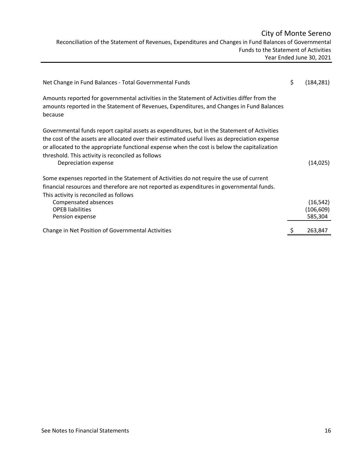<span id="page-17-0"></span>City of Monte Sereno Reconciliation of the Statement of Revenues, Expenditures and Changes in Fund Balances of Governmental Funds to the Statement of Activities Year Ended June 30, 2021

| Net Change in Fund Balances - Total Governmental Funds                                                                                                                                                                                                                                                                                                                      | \$<br>(184, 281)                   |
|-----------------------------------------------------------------------------------------------------------------------------------------------------------------------------------------------------------------------------------------------------------------------------------------------------------------------------------------------------------------------------|------------------------------------|
| Amounts reported for governmental activities in the Statement of Activities differ from the<br>amounts reported in the Statement of Revenues, Expenditures, and Changes in Fund Balances<br>because                                                                                                                                                                         |                                    |
| Governmental funds report capital assets as expenditures, but in the Statement of Activities<br>the cost of the assets are allocated over their estimated useful lives as depreciation expense<br>or allocated to the appropriate functional expense when the cost is below the capitalization<br>threshold. This activity is reconciled as follows<br>Depreciation expense | (14,025)                           |
| Some expenses reported in the Statement of Activities do not require the use of current<br>financial resources and therefore are not reported as expenditures in governmental funds.<br>This activity is reconciled as follows<br>Compensated absences<br><b>OPEB</b> liabilities<br>Pension expense                                                                        | (16, 542)<br>(106, 609)<br>585,304 |
| Change in Net Position of Governmental Activities                                                                                                                                                                                                                                                                                                                           | 263,847                            |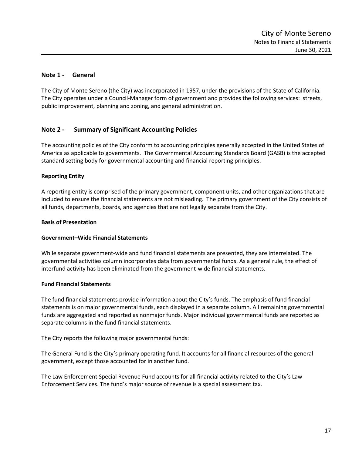## <span id="page-18-0"></span>**Note 1 - General**

The City of Monte Sereno (the City) was incorporated in 1957, under the provisions of the State of California. The City operates under a Council-Manager form of government and provides the following services: streets, public improvement, planning and zoning, and general administration.

## **Note 2 - Summary of Significant Accounting Policies**

The accounting policies of the City conform to accounting principles generally accepted in the United States of America as applicable to governments. The Governmental Accounting Standards Board (GASB) is the accepted standard setting body for governmental accounting and financial reporting principles.

#### **Reporting Entity**

A reporting entity is comprised of the primary government, component units, and other organizations that are included to ensure the financial statements are not misleading. The primary government of the City consists of all funds, departments, boards, and agencies that are not legally separate from the City.

#### **Basis of Presentation**

#### **Government–Wide Financial Statements**

While separate government-wide and fund financial statements are presented, they are interrelated. The governmental activities column incorporates data from governmental funds. As a general rule, the effect of interfund activity has been eliminated from the government-wide financial statements.

#### **Fund Financial Statements**

The fund financial statements provide information about the City's funds. The emphasis of fund financial statements is on major governmental funds, each displayed in a separate column. All remaining governmental funds are aggregated and reported as nonmajor funds. Major individual governmental funds are reported as separate columns in the fund financial statements.

The City reports the following major governmental funds:

The General Fund is the City's primary operating fund. It accounts for all financial resources of the general government, except those accounted for in another fund.

The Law Enforcement Special Revenue Fund accounts for all financial activity related to the City's Law Enforcement Services. The fund's major source of revenue is a special assessment tax.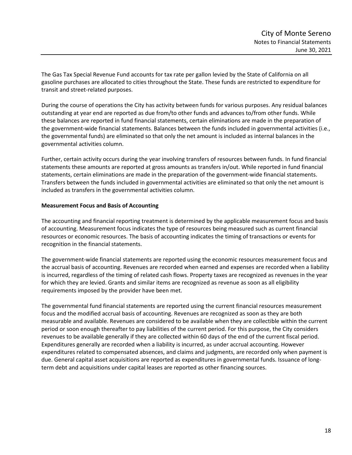The Gas Tax Special Revenue Fund accounts for tax rate per gallon levied by the State of California on all gasoline purchases are allocated to cities throughout the State. These funds are restricted to expenditure for transit and street-related purposes.

During the course of operations the City has activity between funds for various purposes. Any residual balances outstanding at year end are reported as due from/to other funds and advances to/from other funds. While these balances are reported in fund financial statements, certain eliminations are made in the preparation of the government-wide financial statements. Balances between the funds included in governmental activities (i.e., the governmental funds) are eliminated so that only the net amount is included as internal balances in the governmental activities column.

Further, certain activity occurs during the year involving transfers of resources between funds. In fund financial statements these amounts are reported at gross amounts as transfers in/out. While reported in fund financial statements, certain eliminations are made in the preparation of the government-wide financial statements. Transfers between the funds included in governmental activities are eliminated so that only the net amount is included as transfers in the governmental activities column.

#### **Measurement Focus and Basis of Accounting**

The accounting and financial reporting treatment is determined by the applicable measurement focus and basis of accounting. Measurement focus indicates the type of resources being measured such as current financial resources or economic resources. The basis of accounting indicates the timing of transactions or events for recognition in the financial statements.

The government-wide financial statements are reported using the economic resources measurement focus and the accrual basis of accounting. Revenues are recorded when earned and expenses are recorded when a liability is incurred, regardless of the timing of related cash flows. Property taxes are recognized as revenues in the year for which they are levied. Grants and similar items are recognized as revenue as soon as all eligibility requirements imposed by the provider have been met.

The governmental fund financial statements are reported using the current financial resources measurement focus and the modified accrual basis of accounting. Revenues are recognized as soon as they are both measurable and available. Revenues are considered to be available when they are collectible within the current period or soon enough thereafter to pay liabilities of the current period. For this purpose, the City considers revenues to be available generally if they are collected within 60 days of the end of the current fiscal period. Expenditures generally are recorded when a liability is incurred, as under accrual accounting. However expenditures related to compensated absences, and claims and judgments, are recorded only when payment is due. General capital asset acquisitions are reported as expenditures in governmental funds. Issuance of longterm debt and acquisitions under capital leases are reported as other financing sources.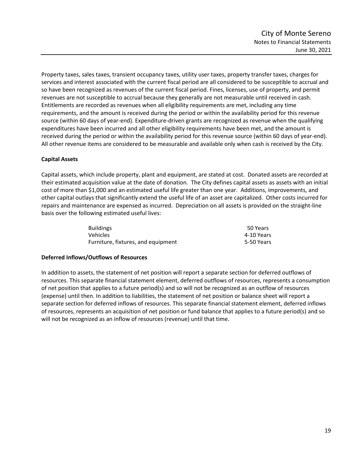Property taxes, sales taxes, transient occupancy taxes, utility user taxes, property transfer taxes, charges for services and interest associated with the current fiscal period are all considered to be susceptible to accrual and so have been recognized as revenues of the current fiscal period. Fines, licenses, use of property, and permit revenues are not susceptible to accrual because they generally are not measurable until received in cash. Entitlements are recorded as revenues when all eligibility requirements are met, including any time requirements, and the amount is received during the period or within the availability period for this revenue source (within 60 days of year-end). Expenditure-driven grants are recognized as revenue when the qualifying expenditures have been incurred and all other eligibility requirements have been met, and the amount is received during the period or within the availability period for this revenue source (within 60 days of year-end). All other revenue items are considered to be measurable and available only when cash is received by the City.

## **Capital Assets**

Capital assets, which include property, plant and equipment, are stated at cost. Donated assets are recorded at their estimated acquisition value at the date of donation. The City defines capital assets as assets with an initial cost of more than \$1,000 and an estimated useful life greater than one year. Additions, improvements, and other capital outlays that significantly extend the useful life of an asset are capitalized. Other costs incurred for repairs and maintenance are expensed as incurred. Depreciation on all assets is provided on the straight-line basis over the following estimated useful lives:

| <b>Buildings</b>                   | 50 Years   |
|------------------------------------|------------|
| <b>Vehicles</b>                    | 4-10 Years |
| Furniture, fixtures, and equipment | 5-50 Years |

#### **Deferred Inflows/Outflows of Resources**

In addition to assets, the statement of net position will report a separate section for deferred outflows of resources. This separate financial statement element, deferred outflows of resources, represents a consumption of net position that applies to a future period(s) and so will not be recognized as an outflow of resources (expense) until then. In addition to liabilities, the statement of net position or balance sheet will report a separate section for deferred inflows of resources. This separate financial statement element, deferred inflows of resources, represents an acquisition of net position or fund balance that applies to a future period(s) and so will not be recognized as an inflow of resources (revenue) until that time.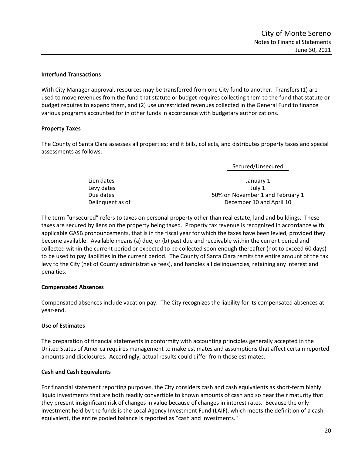#### **Interfund Transactions**

With City Manager approval, resources may be transferred from one City fund to another. Transfers (1) are used to move revenues from the fund that statute or budget requires collecting them to the fund that statute or budget requires to expend them, and (2) use unrestricted revenues collected in the General Fund to finance various programs accounted for in other funds in accordance with budgetary authorizations.

#### **Property Taxes**

The County of Santa Clara assesses all properties; and it bills, collects, and distributes property taxes and special assessments as follows:

|                  | Secured/Unsecured                |
|------------------|----------------------------------|
| Lien dates       | January 1                        |
| Levy dates       | July 1                           |
| Due dates        | 50% on November 1 and February 1 |
| Delinquent as of | December 10 and April 10         |

The term "unsecured" refers to taxes on personal property other than real estate, land and buildings. These taxes are secured by liens on the property being taxed. Property tax revenue is recognized in accordance with applicable GASB pronouncements, that is in the fiscal year for which the taxes have been levied, provided they become available. Available means (a) due, or (b) past due and receivable within the current period and collected within the current period or expected to be collected soon enough thereafter (not to exceed 60 days) to be used to pay liabilities in the current period. The County of Santa Clara remits the entire amount of the tax levy to the City (net of County administrative fees), and handles all delinquencies, retaining any interest and penalties.

#### **Compensated Absences**

Compensated absences include vacation pay. The City recognizes the liability for its compensated absences at year-end.

#### **Use of Estimates**

The preparation of financial statements in conformity with accounting principles generally accepted in the United States of America requires management to make estimates and assumptions that affect certain reported amounts and disclosures. Accordingly, actual results could differ from those estimates.

#### **Cash and Cash Equivalents**

For financial statement reporting purposes, the City considers cash and cash equivalents as short-term highly liquid investments that are both readily convertible to known amounts of cash and so near their maturity that they present insignificant risk of changes in value because of changes in interest rates. Because the only investment held by the funds is the Local Agency Investment Fund (LAIF), which meets the definition of a cash equivalent, the entire pooled balance is reported as "cash and investments."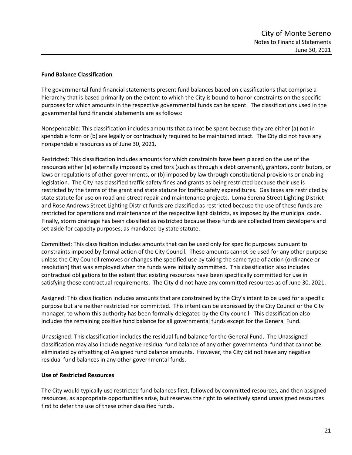#### **Fund Balance Classification**

The governmental fund financial statements present fund balances based on classifications that comprise a hierarchy that is based primarily on the extent to which the City is bound to honor constraints on the specific purposes for which amounts in the respective governmental funds can be spent. The classifications used in the governmental fund financial statements are as follows:

Nonspendable: This classification includes amounts that cannot be spent because they are either (a) not in spendable form or (b) are legally or contractually required to be maintained intact. The City did not have any nonspendable resources as of June 30, 2021.

Restricted: This classification includes amounts for which constraints have been placed on the use of the resources either (a) externally imposed by creditors (such as through a debt covenant), grantors, contributors, or laws or regulations of other governments, or (b) imposed by law through constitutional provisions or enabling legislation. The City has classified traffic safety fines and grants as being restricted because their use is restricted by the terms of the grant and state statute for traffic safety expenditures. Gas taxes are restricted by state statute for use on road and street repair and maintenance projects. Loma Serena Street Lighting District and Rose Andrews Street Lighting District funds are classified as restricted because the use of these funds are restricted for operations and maintenance of the respective light districts, as imposed by the municipal code. Finally, storm drainage has been classified as restricted because these funds are collected from developers and set aside for capacity purposes, as mandated by state statute.

Committed: This classification includes amounts that can be used only for specific purposes pursuant to constraints imposed by formal action of the City Council. These amounts cannot be used for any other purpose unless the City Council removes or changes the specified use by taking the same type of action (ordinance or resolution) that was employed when the funds were initially committed. This classification also includes contractual obligations to the extent that existing resources have been specifically committed for use in satisfying those contractual requirements. The City did not have any committed resources as of June 30, 2021.

Assigned: This classification includes amounts that are constrained by the City's intent to be used for a specific purpose but are neither restricted nor committed. This intent can be expressed by the City Council or the City manager, to whom this authority has been formally delegated by the City council. This classification also includes the remaining positive fund balance for all governmental funds except for the General Fund.

Unassigned: This classification includes the residual fund balance for the General Fund. The Unassigned classification may also include negative residual fund balance of any other governmental fund that cannot be eliminated by offsetting of Assigned fund balance amounts. However, the City did not have any negative residual fund balances in any other governmental funds.

#### **Use of Restricted Resources**

The City would typically use restricted fund balances first, followed by committed resources, and then assigned resources, as appropriate opportunities arise, but reserves the right to selectively spend unassigned resources first to defer the use of these other classified funds.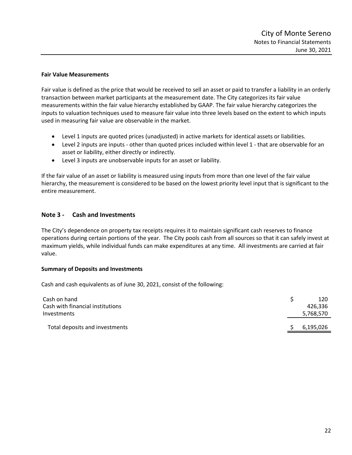#### **Fair Value Measurements**

Fair value is defined as the price that would be received to sell an asset or paid to transfer a liability in an orderly transaction between market participants at the measurement date. The City categorizes its fair value measurements within the fair value hierarchy established by GAAP. The fair value hierarchy categorizes the inputs to valuation techniques used to measure fair value into three levels based on the extent to which inputs used in measuring fair value are observable in the market.

- Level 1 inputs are quoted prices (unadjusted) in active markets for identical assets or liabilities.
- Level 2 inputs are inputs other than quoted prices included within level 1 that are observable for an asset or liability, either directly or indirectly.
- Level 3 inputs are unobservable inputs for an asset or liability.

If the fair value of an asset or liability is measured using inputs from more than one level of the fair value hierarchy, the measurement is considered to be based on the lowest priority level input that is significant to the entire measurement.

## **Note 3 - Cash and Investments**

The City's dependence on property tax receipts requires it to maintain significant cash reserves to finance operations during certain portions of the year. The City pools cash from all sources so that it can safely invest at maximum yields, while individual funds can make expenditures at any time. All investments are carried at fair value.

#### **Summary of Deposits and Investments**

Cash and cash equivalents as of June 30, 2021, consist of the following:

| Cash on hand<br>Cash with financial institutions<br>Investments | 120<br>426,336<br>5,768,570 |
|-----------------------------------------------------------------|-----------------------------|
| Total deposits and investments                                  | 6,195,026                   |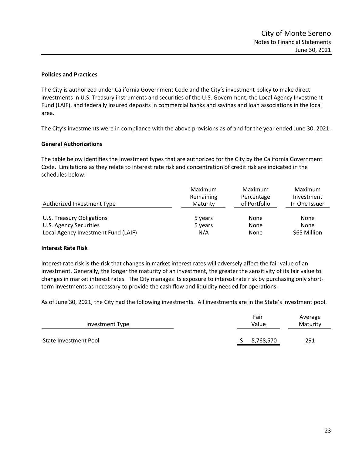#### **Policies and Practices**

The City is authorized under California Government Code and the City's investment policy to make direct investments in U.S. Treasury instruments and securities of the U.S. Government, the Local Agency Investment Fund (LAIF), and federally insured deposits in commercial banks and savings and loan associations in the local area.

The City's investments were in compliance with the above provisions as of and for the year ended June 30, 2021.

## **General Authorizations**

The table below identifies the investment types that are authorized for the City by the California Government Code. Limitations as they relate to interest rate risk and concentration of credit risk are indicated in the schedules below:

| Authorized Investment Type          | Maximum   | Maximum      | Maximum       |
|-------------------------------------|-----------|--------------|---------------|
|                                     | Remaining | Percentage   | Investment    |
|                                     | Maturity  | of Portfolio | In One Issuer |
| U.S. Treasury Obligations           | 5 years   | None         | <b>None</b>   |
| U.S. Agency Securities              | 5 years   | None         | None          |
| Local Agency Investment Fund (LAIF) | N/A       | None         | \$65 Million  |

#### **Interest Rate Risk**

Interest rate risk is the risk that changes in market interest rates will adversely affect the fair value of an investment. Generally, the longer the maturity of an investment, the greater the sensitivity of its fair value to changes in market interest rates. The City manages its exposure to interest rate risk by purchasing only shortterm investments as necessary to provide the cash flow and liquidity needed for operations.

As of June 30, 2021, the City had the following investments. All investments are in the State's investment pool.

| Investment Type       | Fair<br>Value | Average<br>Maturity |
|-----------------------|---------------|---------------------|
| State Investment Pool | 5,768,570     | 291                 |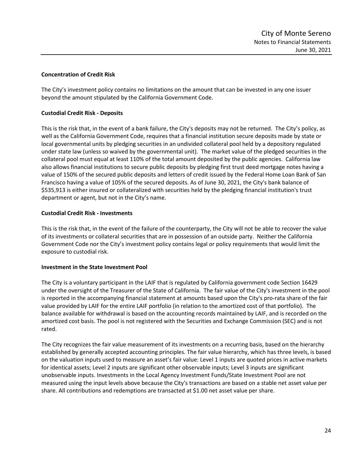#### **Concentration of Credit Risk**

The City's investment policy contains no limitations on the amount that can be invested in any one issuer beyond the amount stipulated by the California Government Code.

## **Custodial Credit Risk - Deposits**

This is the risk that, in the event of a bank failure, the City's deposits may not be returned. The City's policy, as well as the California Government Code, requires that a financial institution secure deposits made by state or local governmental units by pledging securities in an undivided collateral pool held by a depository regulated under state law (unless so waived by the governmental unit). The market value of the pledged securities in the collateral pool must equal at least 110% of the total amount deposited by the public agencies. California law also allows financial institutions to secure public deposits by pledging first trust deed mortgage notes having a value of 150% of the secured public deposits and letters of credit issued by the Federal Home Loan Bank of San Francisco having a value of 105% of the secured deposits. As of June 30, 2021, the City's bank balance of \$535,913 is either insured or collateralized with securities held by the pledging financial institution's trust department or agent, but not in the City's name.

## **Custodial Credit Risk - Investments**

This is the risk that, in the event of the failure of the counterparty, the City will not be able to recover the value of its investments or collateral securities that are in possession of an outside party. Neither the California Government Code nor the City's investment policy contains legal or policy requirements that would limit the exposure to custodial risk.

#### **Investment in the State Investment Pool**

The City is a voluntary participant in the LAIF that is regulated by California government code Section 16429 under the oversight of the Treasurer of the State of California. The fair value of the City's investment in the pool is reported in the accompanying financial statement at amounts based upon the City's pro-rata share of the fair value provided by LAIF for the entire LAIF portfolio (in relation to the amortized cost of that portfolio). The balance available for withdrawal is based on the accounting records maintained by LAIF, and is recorded on the amortized cost basis. The pool is not registered with the Securities and Exchange Commission (SEC) and is not rated.

The City recognizes the fair value measurement of its investments on a recurring basis, based on the hierarchy established by generally accepted accounting principles. The fair value hierarchy, which has three levels, is based on the valuation inputs used to measure an asset's fair value: Level 1 inputs are quoted prices in active markets for identical assets; Level 2 inputs are significant other observable inputs; Level 3 inputs are significant unobservable inputs. Investments in the Local Agency Investment Funds/State Investment Pool are not measured using the input levels above because the City's transactions are based on a stable net asset value per share. All contributions and redemptions are transacted at \$1.00 net asset value per share.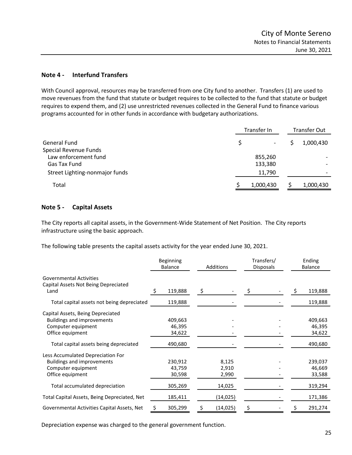## **Note 4 - Interfund Transfers**

With Council approval, resources may be transferred from one City fund to another. Transfers (1) are used to move revenues from the fund that statute or budget requires to be collected to the fund that statute or budget requires to expend them, and (2) use unrestricted revenues collected in the General Fund to finance various programs accounted for in other funds in accordance with budgetary authorizations.

|                                | Transfer In |           | <b>Transfer Out</b> |           |
|--------------------------------|-------------|-----------|---------------------|-----------|
| General Fund                   |             | -         |                     | 1,000,430 |
| Special Revenue Funds          |             |           |                     |           |
| Law enforcement fund           |             | 855,260   |                     |           |
| Gas Tax Fund                   |             | 133,380   |                     |           |
| Street Lighting-nonmajor funds |             | 11,790    |                     |           |
| Total                          |             | 1,000,430 |                     | 1,000,430 |

## **Note 5 - Capital Assets**

The City reports all capital assets, in the Government-Wide Statement of Net Position. The City reports infrastructure using the basic approach.

The following table presents the capital assets activity for the year ended June 30, 2021.

|                                                                        | Beginning<br><b>Balance</b> | Additions | Transfers/<br><b>Disposals</b> | Ending<br>Balance |
|------------------------------------------------------------------------|-----------------------------|-----------|--------------------------------|-------------------|
| <b>Governmental Activities</b><br>Capital Assets Not Being Depreciated |                             |           |                                |                   |
| Land                                                                   | 119,888                     | \$        | \$                             | 119,888           |
| Total capital assets not being depreciated                             | 119,888                     |           |                                | 119,888           |
| Capital Assets, Being Depreciated                                      |                             |           |                                |                   |
| <b>Buildings and improvements</b>                                      | 409,663                     |           |                                | 409,663           |
| Computer equipment                                                     | 46,395                      |           |                                | 46,395            |
| Office equipment                                                       | 34,622                      |           |                                | 34,622            |
| Total capital assets being depreciated                                 | 490,680                     |           |                                | 490,680           |
| Less Accumulated Depreciation For                                      |                             |           |                                |                   |
| <b>Buildings and improvements</b>                                      | 230,912                     | 8,125     |                                | 239,037           |
| Computer equipment                                                     | 43,759                      | 2,910     |                                | 46,669            |
| Office equipment                                                       | 30,598                      | 2,990     |                                | 33,588            |
| Total accumulated depreciation                                         | 305,269                     | 14,025    |                                | 319,294           |
| Total Capital Assets, Being Depreciated, Net                           | 185,411                     | (14, 025) |                                | 171,386           |
| Governmental Activities Capital Assets, Net                            | 305,299                     | (14, 025) |                                | 291,274           |

Depreciation expense was charged to the general government function.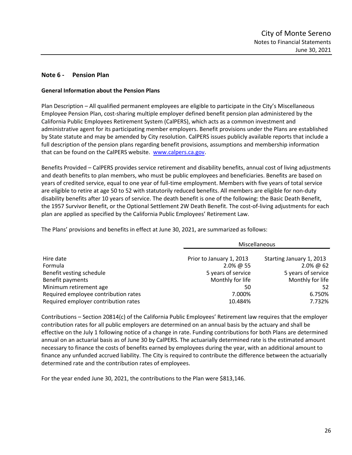## **Note 6 - Pension Plan**

#### **General Information about the Pension Plans**

Plan Description – All qualified permanent employees are eligible to participate in the City's Miscellaneous Employee Pension Plan, cost-sharing multiple employer defined benefit pension plan administered by the California Public Employees Retirement System (CalPERS), which acts as a common investment and administrative agent for its participating member employers. Benefit provisions under the Plans are established by State statute and may be amended by City resolution. CalPERS issues publicly available reports that include a full description of the pension plans regarding benefit provisions, assumptions and membership information that can be found on the CalPERS website. [www.calpers.ca.gov.](http://www.calpers.ca.gov/)

Benefits Provided – CalPERS provides service retirement and disability benefits, annual cost of living adjustments and death benefits to plan members, who must be public employees and beneficiaries. Benefits are based on years of credited service, equal to one year of full-time employment. Members with five years of total service are eligible to retire at age 50 to 52 with statutorily reduced benefits. All members are eligible for non-duty disability benefits after 10 years of service. The death benefit is one of the following: the Basic Death Benefit, the 1957 Survivor Benefit, or the Optional Settlement 2W Death Benefit. The cost-of-living adjustments for each plan are applied as specified by the California Public Employees' Retirement Law.

The Plans' provisions and benefits in effect at June 30, 2021, are summarized as follows:

|                                      | Miscellaneous            |                          |  |
|--------------------------------------|--------------------------|--------------------------|--|
| Hire date                            | Prior to January 1, 2013 | Starting January 1, 2013 |  |
| Formula                              | $2.0\%$ @ 55             | $2.0\%$ @ 62             |  |
| Benefit vesting schedule             | 5 years of service       | 5 years of service       |  |
| Benefit payments                     | Monthly for life         | Monthly for life         |  |
| Minimum retirement age               | 50                       | 52                       |  |
| Required employee contribution rates | 7.000%                   | 6.750%                   |  |
| Required employer contribution rates | 10.484%                  | 7.732%                   |  |

Contributions – Section 20814(c) of the California Public Employees' Retirement law requires that the employer contribution rates for all public employers are determined on an annual basis by the actuary and shall be effective on the July 1 following notice of a change in rate. Funding contributions for both Plans are determined annual on an actuarial basis as of June 30 by CalPERS. The actuarially determined rate is the estimated amount necessary to finance the costs of benefits earned by employees during the year, with an additional amount to finance any unfunded accrued liability. The City is required to contribute the difference between the actuarially determined rate and the contribution rates of employees.

For the year ended June 30, 2021, the contributions to the Plan were \$813,146.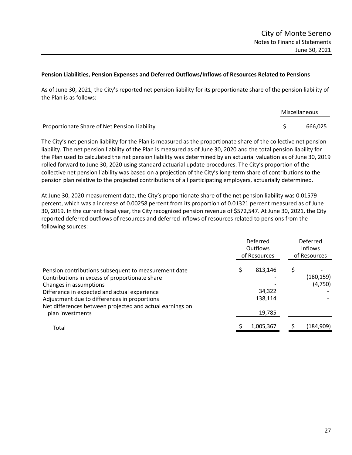#### **Pension Liabilities, Pension Expenses and Deferred Outflows/Inflows of Resources Related to Pensions**

As of June 30, 2021, the City's reported net pension liability for its proportionate share of the pension liability of the Plan is as follows:

|                                              | Miscellaneous |
|----------------------------------------------|---------------|
| Proportionate Share of Net Pension Liability | 666,025       |

The City's net pension liability for the Plan is measured as the proportionate share of the collective net pension liability. The net pension liability of the Plan is measured as of June 30, 2020 and the total pension liability for the Plan used to calculated the net pension liability was determined by an actuarial valuation as of June 30, 2019 rolled forward to June 30, 2020 using standard actuarial update procedures. The City's proportion of the collective net pension liability was based on a projection of the City's long-term share of contributions to the pension plan relative to the projected contributions of all participating employers, actuarially determined.

At June 30, 2020 measurement date, the City's proportionate share of the net pension liability was 0.01579 percent, which was a increase of 0.00258 percent from its proportion of 0.01321 percent measured as of June 30, 2019. In the current fiscal year, the City recognized pension revenue of \$572,547. At June 30, 2021, the City reported deferred outflows of resources and deferred inflows of resources related to pensions from the following sources:

|                                                          | Deferred<br><b>Outflows</b><br>of Resources | Deferred<br>Inflows<br>of Resources |
|----------------------------------------------------------|---------------------------------------------|-------------------------------------|
| Pension contributions subsequent to measurement date     | 813.146                                     | \$                                  |
| Contributions in excess of proportionate share           |                                             | (180,159)                           |
| Changes in assumptions                                   |                                             | (4,750)                             |
| Difference in expected and actual experience             | 34,322                                      |                                     |
| Adjustment due to differences in proportions             | 138,114                                     |                                     |
| Net differences between projected and actual earnings on |                                             |                                     |
| plan investments                                         | 19,785                                      |                                     |
| Total                                                    | 1,005,367                                   | (184,909)                           |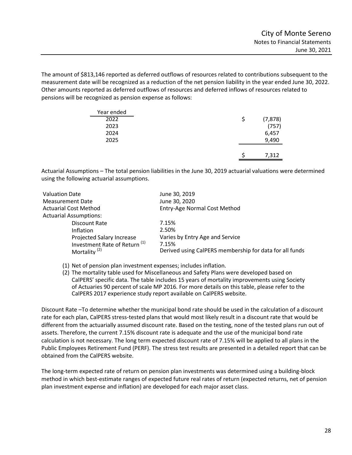The amount of \$813,146 reported as deferred outflows of resources related to contributions subsequent to the measurement date will be recognized as a reduction of the net pension liability in the year ended June 30, 2022. Other amounts reported as deferred outflows of resources and deferred inflows of resources related to pensions will be recognized as pension expense as follows:

| Year ended |          |
|------------|----------|
| 2022       | (7, 878) |
| 2023       | (757)    |
| 2024       | 6,457    |
| 2025       | 9,490    |
|            |          |
|            | 7,312    |

Actuarial Assumptions – The total pension liabilities in the June 30, 2019 actuarial valuations were determined using the following actuarial assumptions.

| June 30, 2019                                           |
|---------------------------------------------------------|
| June 30, 2020                                           |
| Entry-Age Normal Cost Method                            |
|                                                         |
| 7.15%                                                   |
| 2.50%                                                   |
| Varies by Entry Age and Service                         |
| 7.15%                                                   |
| Derived using CalPERS membership for data for all funds |
|                                                         |

(1) Net of pension plan investment expenses; includes inflation.

(2) The mortality table used for Miscellaneous and Safety Plans were developed based on CalPERS' specific data. The table includes 15 years of mortality improvements using Society of Actuaries 90 percent of scale MP 2016. For more details on this table, please refer to the CalPERS 2017 experience study report available on CalPERS website.

Discount Rate –To determine whether the municipal bond rate should be used in the calculation of a discount rate for each plan, CalPERS stress-tested plans that would most likely result in a discount rate that would be different from the actuarially assumed discount rate. Based on the testing, none of the tested plans run out of assets. Therefore, the current 7.15% discount rate is adequate and the use of the municipal bond rate calculation is not necessary. The long term expected discount rate of 7.15% will be applied to all plans in the Public Employees Retirement Fund (PERF). The stress test results are presented in a detailed report that can be obtained from the CalPERS website.

The long-term expected rate of return on pension plan investments was determined using a building-block method in which best-estimate ranges of expected future real rates of return (expected returns, net of pension plan investment expense and inflation) are developed for each major asset class.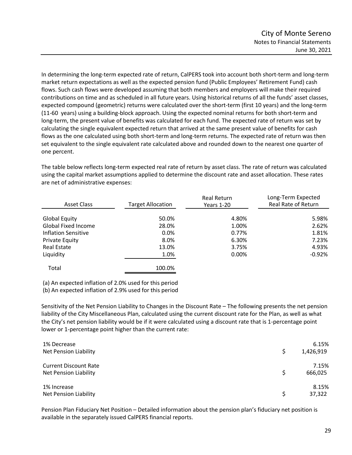In determining the long-term expected rate of return, CalPERS took into account both short-term and long-term market return expectations as well as the expected pension fund (Public Employees' Retirement Fund) cash flows. Such cash flows were developed assuming that both members and employers will make their required contributions on time and as scheduled in all future years. Using historical returns of all the funds' asset classes, expected compound (geometric) returns were calculated over the short-term (first 10 years) and the long-term (11-60 years) using a building-block approach. Using the expected nominal returns for both short-term and long-term, the present value of benefits was calculated for each fund. The expected rate of return was set by calculating the single equivalent expected return that arrived at the same present value of benefits for cash flows as the one calculated using both short-term and long-term returns. The expected rate of return was then set equivalent to the single equivalent rate calculated above and rounded down to the nearest one quarter of one percent.

The table below reflects long-term expected real rate of return by asset class. The rate of return was calculated using the capital market assumptions applied to determine the discount rate and asset allocation. These rates are net of administrative expenses:

| <b>Asset Class</b>         | <b>Target Allocation</b> | <b>Real Return</b><br><b>Years 1-20</b> | Long-Term Expected<br>Real Rate of Return |
|----------------------------|--------------------------|-----------------------------------------|-------------------------------------------|
| <b>Global Equity</b>       | 50.0%                    | 4.80%                                   | 5.98%                                     |
| <b>Global Fixed Income</b> | 28.0%                    | 1.00%                                   | 2.62%                                     |
| Inflation Sensitive        | $0.0\%$                  | 0.77%                                   | 1.81%                                     |
| <b>Private Equity</b>      | 8.0%                     | 6.30%                                   | 7.23%                                     |
| <b>Real Estate</b>         | 13.0%                    | 3.75%                                   | 4.93%                                     |
| Liquidity                  | 1.0%                     | 0.00%                                   | $-0.92%$                                  |
| Total                      | 100.0%                   |                                         |                                           |

(a) An expected inflation of 2.0% used for this period

(b) An expected inflation of 2.9% used for this period

Sensitivity of the Net Pension Liability to Changes in the Discount Rate – The following presents the net pension liability of the City Miscellaneous Plan, calculated using the current discount rate for the Plan, as well as what the City's net pension liability would be if it were calculated using a discount rate that is 1-percentage point lower or 1-percentage point higher than the current rate:

| 1% Decrease<br>Net Pension Liability                         | Ś | 6.15%<br>1,426,919 |
|--------------------------------------------------------------|---|--------------------|
| <b>Current Discount Rate</b><br><b>Net Pension Liability</b> | S | 7.15%<br>666,025   |
| 1% Increase<br>Net Pension Liability                         |   | 8.15%<br>37,322    |

Pension Plan Fiduciary Net Position – Detailed information about the pension plan's fiduciary net position is available in the separately issued CalPERS financial reports.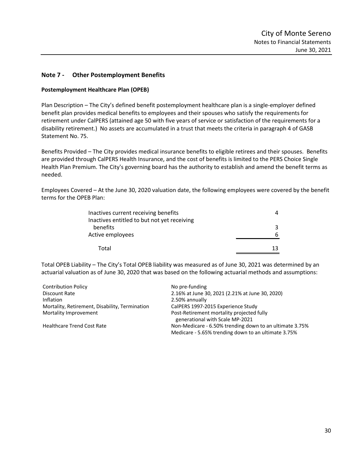## **Note 7 - Other Postemployment Benefits**

#### **Postemployment Healthcare Plan (OPEB)**

Plan Description – The City's defined benefit postemployment healthcare plan is a single-employer defined benefit plan provides medical benefits to employees and their spouses who satisfy the requirements for retirement under CalPERS (attained age 50 with five years of service or satisfaction of the requirements for a disability retirement.) No assets are accumulated in a trust that meets the criteria in paragraph 4 of GASB Statement No. 75.

Benefits Provided – The City provides medical insurance benefits to eligible retirees and their spouses. Benefits are provided through CalPERS Health Insurance, and the cost of benefits is limited to the PERS Choice Single Health Plan Premium. The City's governing board has the authority to establish and amend the benefit terms as needed.

Employees Covered – At the June 30, 2020 valuation date, the following employees were covered by the benefit terms for the OPEB Plan:

| Inactives current receiving benefits        | 4  |
|---------------------------------------------|----|
| Inactives entitled to but not yet receiving |    |
| benefits                                    | 3  |
| Active employees                            | 6  |
|                                             |    |
| Total                                       | 13 |

Total OPEB Liability – The City's Total OPEB liability was measured as of June 30, 2021 was determined by an actuarial valuation as of June 30, 2020 that was based on the following actuarial methods and assumptions:

| <b>Contribution Policy</b>                     | No pre-funding                                                                                                 |
|------------------------------------------------|----------------------------------------------------------------------------------------------------------------|
| Discount Rate                                  | 2.16% at June 30, 2021 (2.21% at June 30, 2020)                                                                |
| Inflation                                      | 2.50% annually                                                                                                 |
| Mortality, Retirement, Disability, Termination | CalPERS 1997-2015 Experience Study                                                                             |
| Mortality Improvement                          | Post-Retirement mortality projected fully<br>generational with Scale MP-2021                                   |
| <b>Healthcare Trend Cost Rate</b>              | Non-Medicare - 6.50% trending down to an ultimate 3.75%<br>Medicare - 5.65% trending down to an ultimate 3.75% |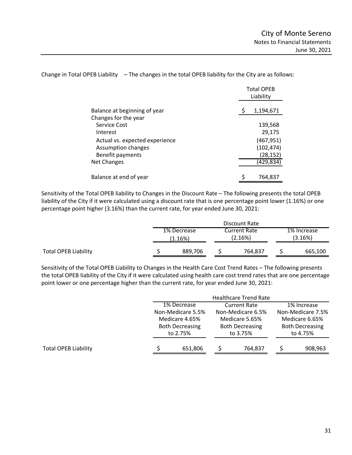|                                                      | <b>Total OPEB</b><br>Liability |
|------------------------------------------------------|--------------------------------|
| Balance at beginning of year<br>Changes for the year | 1,194,671                      |
| Service Cost<br>Interest                             | 139,568<br>29,175              |
| Actual vs. expected experience<br>Assumption changes | (467, 951)<br>(102, 474)       |
| Benefit payments<br><b>Net Changes</b>               | (28, 152)<br>(429,834)         |
| Balance at end of year                               | 764.837                        |

Change in Total OPEB Liability – The changes in the total OPEB liability for the City are as follows:

Sensitivity of the Total OPEB liability to Changes in the Discount Rate – The following presents the total OPEB liability of the City if it were calculated using a discount rate that is one percentage point lower (1.16%) or one percentage point higher (3.16%) than the current rate, for year ended June 30, 2021:

|                             | 1% Decrease | <b>Current Rate</b> |         | 1% Increase |  |
|-----------------------------|-------------|---------------------|---------|-------------|--|
|                             | (1.16%)     | (2.16%)             | (3.16%) |             |  |
| <b>Total OPEB Liability</b> | 889,706     | 764,837             |         | 665,100     |  |
|                             |             |                     |         |             |  |

Sensitivity of the Total OPEB Liability to Changes in the Health Care Cost Trend Rates – The following presents the total OPEB liability of the City if it were calculated using health care cost trend rates that are one percentage point lower or one percentage higher than the current rate, for year ended June 30, 2021:

|                             | 1% Decrease                        | <b>Current Rate</b>                | 1% Increase                        |
|-----------------------------|------------------------------------|------------------------------------|------------------------------------|
|                             | Non-Medicare 5.5%                  | Non-Medicare 6.5%                  | Non-Medicare 7.5%                  |
|                             | Medicare 4.65%                     | Medicare 5.65%                     | Medicare 6.65%                     |
|                             | <b>Both Decreasing</b><br>to 2.75% | <b>Both Decreasing</b><br>to 3.75% | <b>Both Decreasing</b><br>to 4.75% |
| <b>Total OPEB Liability</b> | 651,806                            | 764,837                            | 908,963                            |
|                             |                                    |                                    |                                    |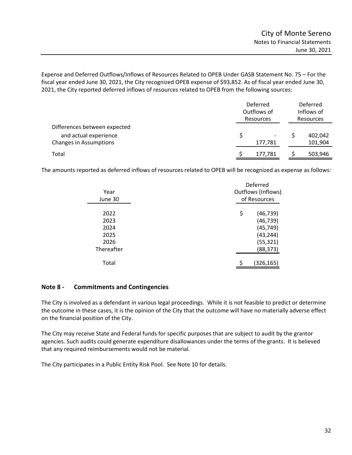Expense and Deferred Outflows/Inflows of Resources Related to OPEB Under GASB Statement No. 75 – For the fiscal year ended June 30, 2021, the City recognized OPEB expense of \$93,852. As of fiscal year ended June 30, 2021, the City reported deferred inflows of resources related to OPEB from the following sources:

|                                                                                 | Deferred<br>Outflows of<br>Resources | Deferred<br>Inflows of<br>Resources |                    |
|---------------------------------------------------------------------------------|--------------------------------------|-------------------------------------|--------------------|
| Differences between expected<br>and actual experience<br>Changes in Assumptions | S                                    | -<br>177,781                        | 402,042<br>101,904 |
| Total                                                                           |                                      | 177,781                             | 503,946            |

The amounts reported as deferred inflows of resources related to OPEB will be recognized as expense as follows:

| Year<br>June 30 | Deferred<br>Outflows (Inflows)<br>of Resources |  |
|-----------------|------------------------------------------------|--|
| 2022            | \$<br>(46, 739)                                |  |
| 2023            | (46, 739)                                      |  |
| 2024            | (45, 749)                                      |  |
| 2025            | (43, 244)                                      |  |
| 2026            | (55, 321)                                      |  |
| Thereafter      | (88, 373)                                      |  |
| Total           | (326,165)                                      |  |

#### **Note 8 - Commitments and Contingencies**

The City is involved as a defendant in various legal proceedings. While it is not feasible to predict or determine the outcome in these cases, it is the opinion of the City that the outcome will have no materially adverse effect on the financial position of the City.

The City may receive State and Federal funds for specific purposes that are subject to audit by the grantor agencies. Such audits could generate expenditure disallowances under the terms of the grants. It is believed that any required reimbursements would not be material.

The City participates in a Public Entity Risk Pool. See Note 10 for details.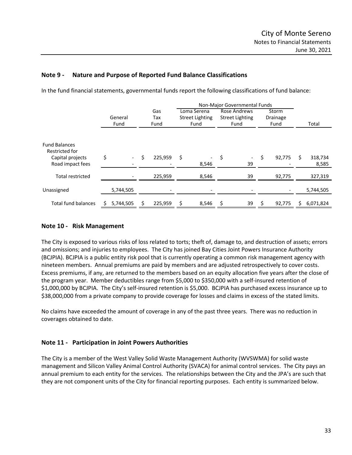## **Note 9 - Nature and Purpose of Reported Fund Balance Classifications**

In the fund financial statements, governmental funds report the following classifications of fund balance:

|                                        |    |                          |               |                        | Non-Major Governmental Funds |              |    |                  |
|----------------------------------------|----|--------------------------|---------------|------------------------|------------------------------|--------------|----|------------------|
|                                        |    |                          | Gas           | Loma Serena            | Rose Andrews                 | Storm        |    |                  |
|                                        |    | General                  | Tax           | <b>Street Lighting</b> | <b>Street Lighting</b>       | Drainage     |    |                  |
|                                        |    | Fund                     | Fund          | Fund                   | Fund                         | Fund         |    | Total            |
|                                        |    |                          |               |                        |                              |              |    |                  |
| <b>Fund Balances</b><br>Restricted for |    |                          |               |                        |                              |              |    |                  |
| Capital projects<br>Road impact fees   | \$ | $\overline{\phantom{a}}$ | \$<br>225,959 | \$<br>8,546            | \$<br>39                     | \$<br>92,775 | \$ | 318,734<br>8,585 |
| <b>Total restricted</b>                |    |                          | 225,959       | 8,546                  | 39                           | 92,775       |    | 327,319          |
| Unassigned                             |    | 5,744,505                |               |                        |                              |              |    | 5,744,505        |
| <b>Total fund balances</b>             | Ś  | 5,744,505                | \$<br>225.959 | \$<br>8,546            | \$<br>39                     | \$<br>92.775 | Ś  | 6,071,824        |

#### **Note 10 - Risk Management**

The City is exposed to various risks of loss related to torts; theft of, damage to, and destruction of assets; errors and omissions; and injuries to employees. The City has joined Bay Cities Joint Powers Insurance Authority (BCJPIA). BCJPIA is a public entity risk pool that is currently operating a common risk management agency with nineteen members. Annual premiums are paid by members and are adjusted retrospectively to cover costs. Excess premiums, if any, are returned to the members based on an equity allocation five years after the close of the program year. Member deductibles range from \$5,000 to \$350,000 with a self-insured retention of \$1,000,000 by BCJPIA. The City's self-insured retention is \$5,000. BCJPIA has purchased excess insurance up to \$38,000,000 from a private company to provide coverage for losses and claims in excess of the stated limits.

No claims have exceeded the amount of coverage in any of the past three years. There was no reduction in coverages obtained to date.

## **Note 11 - Participation in Joint Powers Authorities**

The City is a member of the West Valley Solid Waste Management Authority (WVSWMA) for solid waste management and Silicon Valley Animal Control Authority (SVACA) for animal control services. The City pays an annual premium to each entity for the services. The relationships between the City and the JPA's are such that they are not component units of the City for financial reporting purposes. Each entity is summarized below.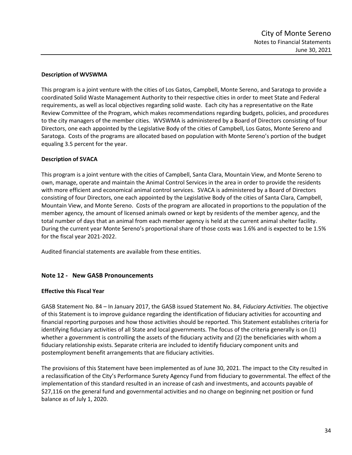#### **Description of WVSWMA**

This program is a joint venture with the cities of Los Gatos, Campbell, Monte Sereno, and Saratoga to provide a coordinated Solid Waste Management Authority to their respective cities in order to meet State and Federal requirements, as well as local objectives regarding solid waste. Each city has a representative on the Rate Review Committee of the Program, which makes recommendations regarding budgets, policies, and procedures to the city managers of the member cities. WVSWMA is administered by a Board of Directors consisting of four Directors, one each appointed by the Legislative Body of the cities of Campbell, Los Gatos, Monte Sereno and Saratoga. Costs of the programs are allocated based on population with Monte Sereno's portion of the budget equaling 3.5 percent for the year.

## **Description of SVACA**

This program is a joint venture with the cities of Campbell, Santa Clara, Mountain View, and Monte Sereno to own, manage, operate and maintain the Animal Control Services in the area in order to provide the residents with more efficient and economical animal control services. SVACA is administered by a Board of Directors consisting of four Directors, one each appointed by the Legislative Body of the cities of Santa Clara, Campbell, Mountain View, and Monte Sereno. Costs of the program are allocated in proportions to the population of the member agency, the amount of licensed animals owned or kept by residents of the member agency, and the total number of days that an animal from each member agency is held at the current animal shelter facility. During the current year Monte Sereno's proportional share of those costs was 1.6% and is expected to be 1.5% for the fiscal year 2021-2022.

Audited financial statements are available from these entities.

## **Note 12 - New GASB Pronouncements**

#### **Effective this Fiscal Year**

GASB Statement No. 84 – In January 2017, the GASB issued Statement No. 84, *Fiduciary Activities*. The objective of this Statement is to improve guidance regarding the identification of fiduciary activities for accounting and financial reporting purposes and how those activities should be reported. This Statement establishes criteria for identifying fiduciary activities of all State and local governments. The focus of the criteria generally is on (1) whether a government is controlling the assets of the fiduciary activity and (2) the beneficiaries with whom a fiduciary relationship exists. Separate criteria are included to identify fiduciary component units and postemployment benefit arrangements that are fiduciary activities.

The provisions of this Statement have been implemented as of June 30, 2021. The impact to the City resulted in a reclassification of the City's Performance Surety Agency Fund from fiduciary to governmental. The effect of the implementation of this standard resulted in an increase of cash and investments, and accounts payable of \$27,116 on the general fund and governmental activities and no change on beginning net position or fund balance as of July 1, 2020.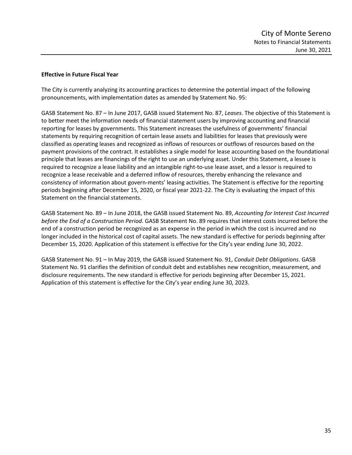#### **Effective in Future Fiscal Year**

The City is currently analyzing its accounting practices to determine the potential impact of the following pronouncements, with implementation dates as amended by Statement No. 95:

GASB Statement No. 87 – In June 2017, GASB issued Statement No. 87, *Leases*. The objective of this Statement is to better meet the information needs of financial statement users by improving accounting and financial reporting for leases by governments. This Statement increases the usefulness of governments' financial statements by requiring recognition of certain lease assets and liabilities for leases that previously were classified as operating leases and recognized as inflows of resources or outflows of resources based on the payment provisions of the contract. It establishes a single model for lease accounting based on the foundational principle that leases are financings of the right to use an underlying asset. Under this Statement, a lessee is required to recognize a lease liability and an intangible right-to-use lease asset, and a lessor is required to recognize a lease receivable and a deferred inflow of resources, thereby enhancing the relevance and consistency of information about govern-ments' leasing activities. The Statement is effective for the reporting periods beginning after December 15, 2020, or fiscal year 2021-22. The City is evaluating the impact of this Statement on the financial statements.

GASB Statement No. 89 – In June 2018, the GASB issued Statement No. 89, *Accounting for Interest Cost Incurred before the End of a Construction Period*. GASB Statement No. 89 requires that interest costs incurred before the end of a construction period be recognized as an expense in the period in which the cost is incurred and no longer included in the historical cost of capital assets. The new standard is effective for periods beginning after December 15, 2020. Application of this statement is effective for the City's year ending June 30, 2022.

GASB Statement No. 91 – In May 2019, the GASB issued Statement No. 91, *Conduit Debt Obligations*. GASB Statement No. 91 clarifies the definition of conduit debt and establishes new recognition, measurement, and disclosure requirements. The new standard is effective for periods beginning after December 15, 2021. Application of this statement is effective for the City's year ending June 30, 2023.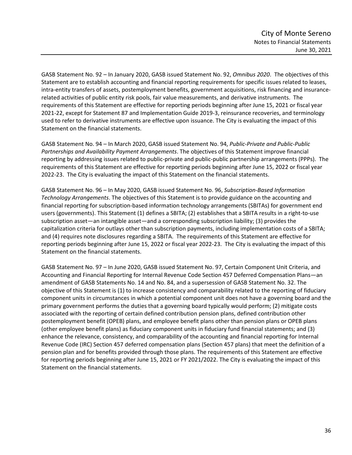GASB Statement No. 92 – In January 2020, GASB issued Statement No. 92, *Omnibus 2020*. The objectives of this Statement are to establish accounting and financial reporting requirements for specific issues related to leases, intra-entity transfers of assets, postemployment benefits, government acquisitions, risk financing and insurancerelated activities of public entity risk pools, fair value measurements, and derivative instruments. The requirements of this Statement are effective for reporting periods beginning after June 15, 2021 or fiscal year 2021-22, except for Statement 87 and Implementation Guide 2019-3, reinsurance recoveries, and terminology used to refer to derivative instruments are effective upon issuance. The City is evaluating the impact of this Statement on the financial statements.

GASB Statement No. 94 – In March 2020, GASB issued Statement No. 94, *Public-Private and Public-Public Partnerships and Availability Payment Arrangements*. The objectives of this Statement improve financial reporting by addressing issues related to public-private and public-public partnership arrangements (PPPs). The requirements of this Statement are effective for reporting periods beginning after June 15, 2022 or fiscal year 2022-23. The City is evaluating the impact of this Statement on the financial statements.

GASB Statement No. 96 – In May 2020, GASB issued Statement No. 96, *Subscription-Based Information Technology Arrangements*. The objectives of this Statement is to provide guidance on the accounting and financial reporting for subscription-based information technology arrangements (SBITAs) for government end users (governments). This Statement (1) defines a SBITA; (2) establishes that a SBITA results in a right-to-use subscription asset—an intangible asset—and a corresponding subscription liability; (3) provides the capitalization criteria for outlays other than subscription payments, including implementation costs of a SBITA; and (4) requires note disclosures regarding a SBITA. The requirements of this Statement are effective for reporting periods beginning after June 15, 2022 or fiscal year 2022-23. The City is evaluating the impact of this Statement on the financial statements.

GASB Statement No. 97 – In June 2020, GASB issued Statement No. 97, Certain Component Unit Criteria, and Accounting and Financial Reporting for Internal Revenue Code Section 457 Deferred Compensation Plans—an amendment of GASB Statements No. 14 and No. 84, and a supersession of GASB Statement No. 32. The objective of this Statement is (1) to increase consistency and comparability related to the reporting of fiduciary component units in circumstances in which a potential component unit does not have a governing board and the primary government performs the duties that a governing board typically would perform; (2) mitigate costs associated with the reporting of certain defined contribution pension plans, defined contribution other postemployment benefit (OPEB) plans, and employee benefit plans other than pension plans or OPEB plans (other employee benefit plans) as fiduciary component units in fiduciary fund financial statements; and (3) enhance the relevance, consistency, and comparability of the accounting and financial reporting for Internal Revenue Code (IRC) Section 457 deferred compensation plans (Section 457 plans) that meet the definition of a pension plan and for benefits provided through those plans. The requirements of this Statement are effective for reporting periods beginning after June 15, 2021 or FY 2021/2022. The City is evaluating the impact of this Statement on the financial statements.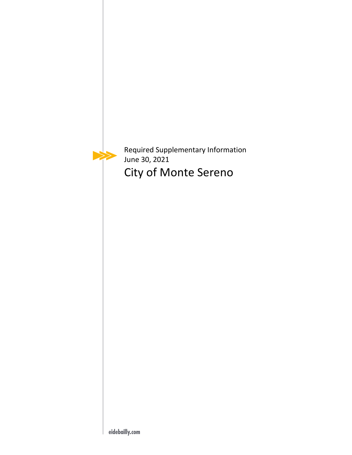<span id="page-38-0"></span>

Required Supplementary Information June 30, 2021 City of Monte Sereno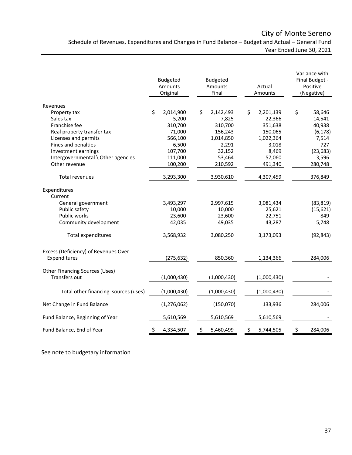<span id="page-39-1"></span><span id="page-39-0"></span>Schedule of Revenues, Expenditures and Changes in Fund Balance – Budget and Actual – General Fund Year Ended June 30, 2021

|                                                                                                                                                            | <b>Budgeted</b><br>Amounts<br>Original                                       | <b>Budgeted</b><br>Amounts<br>Final                                            | Actual<br>Amounts                                                              | Variance with<br>Final Budget -<br>Positive<br>(Negative)                 |
|------------------------------------------------------------------------------------------------------------------------------------------------------------|------------------------------------------------------------------------------|--------------------------------------------------------------------------------|--------------------------------------------------------------------------------|---------------------------------------------------------------------------|
| Revenues<br>Property tax<br>Sales tax<br>Franchise fee<br>Real property transfer tax<br>Licenses and permits<br>Fines and penalties<br>Investment earnings | \$<br>2,014,900<br>5,200<br>310,700<br>71,000<br>566,100<br>6,500<br>107,700 | \$<br>2,142,493<br>7,825<br>310,700<br>156,243<br>1,014,850<br>2,291<br>32,152 | \$<br>2,201,139<br>22,366<br>351,638<br>150,065<br>1,022,364<br>3,018<br>8,469 | \$<br>58,646<br>14,541<br>40,938<br>(6, 178)<br>7,514<br>727<br>(23, 683) |
| Intergovernmental \ Other agencies<br>Other revenue                                                                                                        | 111,000<br>100,200                                                           | 53,464<br>210,592                                                              | 57,060<br>491,340                                                              | 3,596<br>280,748                                                          |
| Total revenues                                                                                                                                             | 3,293,300                                                                    | 3,930,610                                                                      | 4,307,459                                                                      | 376,849                                                                   |
| Expenditures<br>Current<br>General government<br>Public safety<br>Public works<br>Community development<br><b>Total expenditures</b>                       | 3,493,297<br>10,000<br>23,600<br>42,035<br>3,568,932                         | 2,997,615<br>10,000<br>23,600<br>49,035<br>3,080,250                           | 3,081,434<br>25,621<br>22,751<br>43,287<br>3,173,093                           | (83, 819)<br>(15, 621)<br>849<br>5,748<br>(92, 843)                       |
| Excess (Deficiency) of Revenues Over<br>Expenditures                                                                                                       | (275, 632)                                                                   | 850,360                                                                        | 1,134,366                                                                      | 284,006                                                                   |
| <b>Other Financing Sources (Uses)</b><br>Transfers out                                                                                                     | (1,000,430)                                                                  | (1,000,430)                                                                    | (1,000,430)                                                                    |                                                                           |
| Total other financing sources (uses)                                                                                                                       | (1,000,430)                                                                  | (1,000,430)                                                                    | (1,000,430)                                                                    |                                                                           |
| Net Change in Fund Balance                                                                                                                                 | (1, 276, 062)                                                                | (150,070)                                                                      | 133,936                                                                        | 284,006                                                                   |
| Fund Balance, Beginning of Year                                                                                                                            | 5,610,569                                                                    | 5,610,569                                                                      | 5,610,569                                                                      |                                                                           |
| Fund Balance, End of Year                                                                                                                                  | $\frac{1}{2}$<br>4,334,507                                                   | \$<br>5,460,499                                                                | 5,744,505<br>\$                                                                | \$<br>284,006                                                             |

See note to budgetary information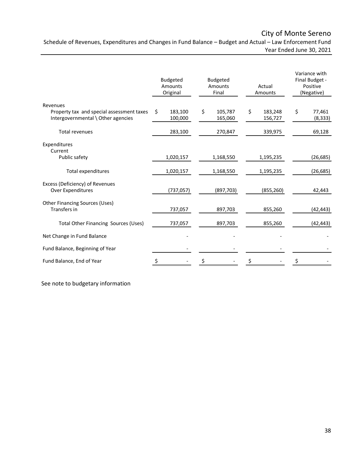<span id="page-40-0"></span>Schedule of Revenues, Expenditures and Changes in Fund Balance – Budget and Actual – Law Enforcement Fund Year Ended June 30, 2021

|                                                                                             | <b>Budgeted</b><br>Amounts<br>Original | <b>Budgeted</b><br>Amounts<br>Final | Actual<br>Amounts        | Variance with<br>Final Budget -<br>Positive<br>(Negative) |
|---------------------------------------------------------------------------------------------|----------------------------------------|-------------------------------------|--------------------------|-----------------------------------------------------------|
| Revenues<br>Property tax and special assessment taxes<br>Intergovernmental \ Other agencies | \$<br>183,100<br>100,000               | \$<br>105,787<br>165,060            | \$<br>183,248<br>156,727 | \$<br>77,461<br>(8, 333)                                  |
| <b>Total revenues</b>                                                                       | 283,100                                | 270,847                             | 339,975                  | 69,128                                                    |
| Expenditures<br>Current                                                                     |                                        |                                     |                          |                                                           |
| Public safety                                                                               | 1,020,157                              | 1,168,550                           | 1,195,235                | (26, 685)                                                 |
| Total expenditures                                                                          | 1,020,157                              | 1,168,550                           | 1,195,235                | (26, 685)                                                 |
| Excess (Deficiency) of Revenues<br><b>Over Expenditures</b>                                 | (737, 057)                             | (897,703)                           | (855, 260)               | 42,443                                                    |
| <b>Other Financing Sources (Uses)</b><br>Transfers in                                       | 737,057                                | 897,703                             | 855,260                  | (42, 443)                                                 |
| Total Other Financing Sources (Uses)                                                        | 737,057                                | 897,703                             | 855,260                  | (42, 443)                                                 |
| Net Change in Fund Balance                                                                  |                                        |                                     |                          |                                                           |
| Fund Balance, Beginning of Year                                                             |                                        |                                     |                          |                                                           |
| Fund Balance, End of Year                                                                   | \$                                     | Ś                                   | Ś                        | Ś                                                         |

See note to budgetary information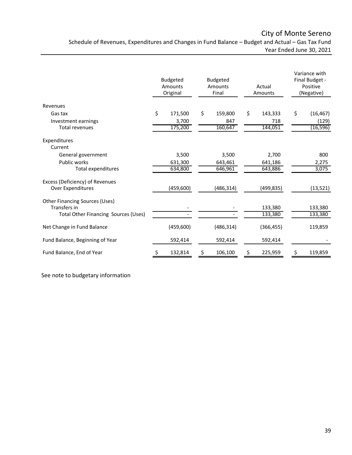<span id="page-41-0"></span>Schedule of Revenues, Expenditures and Changes in Fund Balance – Budget and Actual – Gas Tax Fund Year Ended June 30, 2021

|                                                              |         | <b>Budgeted</b><br>Amounts<br>Original | <b>Budgeted</b><br>Amounts<br>Final | Actual<br>Amounts | Variance with<br>Final Budget -<br>Positive<br>(Negative) |
|--------------------------------------------------------------|---------|----------------------------------------|-------------------------------------|-------------------|-----------------------------------------------------------|
| Revenues                                                     |         |                                        |                                     |                   |                                                           |
| Gas tax                                                      | \$      | 171,500                                | \$<br>159,800                       | \$<br>143,333     | \$<br>(16, 467)                                           |
| Investment earnings                                          |         | 3,700                                  | 847                                 | 718               | (129)                                                     |
| <b>Total revenues</b>                                        |         | 175,200                                | 160,647                             | 144,051           | (16, 596)                                                 |
| Expenditures<br>Current                                      |         |                                        |                                     |                   |                                                           |
| General government                                           |         | 3,500                                  | 3,500                               | 2,700             | 800                                                       |
| Public works                                                 |         | 631,300                                | 643,461                             | 641,186           | 2,275                                                     |
| Total expenditures                                           | 634,800 |                                        | 646,961                             | 643,886           | 3,075                                                     |
| Excess (Deficiency) of Revenues<br><b>Over Expenditures</b>  |         | (459,600)                              | (486, 314)                          | (499,835)         | (13, 521)                                                 |
| <b>Other Financing Sources (Uses)</b><br><b>Transfers in</b> |         |                                        |                                     | 133,380           | 133,380                                                   |
| Total Other Financing Sources (Uses)                         |         |                                        |                                     | 133,380           | 133,380                                                   |
| Net Change in Fund Balance                                   |         | (459,600)                              | (486, 314)                          | (366, 455)        | 119,859                                                   |
| Fund Balance, Beginning of Year                              |         | 592,414                                | 592,414                             | 592,414           |                                                           |
| Fund Balance, End of Year                                    |         | 132,814                                | 106,100                             | 225,959           | 119,859                                                   |

See note to budgetary information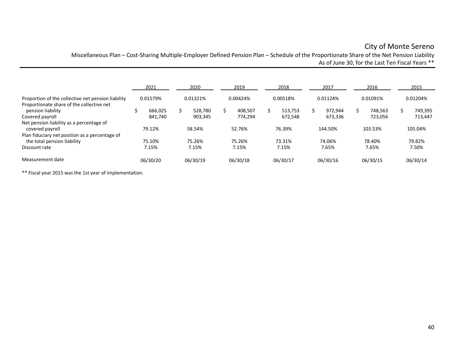Miscellaneous Plan – Cost-Sharing Multiple-Employer Defined Pension Plan – Schedule of the Proportionate Share of the Net Pension Liability As of June 30, for the Last Ten Fiscal Years \*\*

|                                                                                                 |          | 2021               |          | 2020               |          | 2019               |          | 2018               |          | 2017               |          | 2016               |        | 2015               |  |
|-------------------------------------------------------------------------------------------------|----------|--------------------|----------|--------------------|----------|--------------------|----------|--------------------|----------|--------------------|----------|--------------------|--------|--------------------|--|
| Proportion of the collective net pension liability<br>Proportionate share of the collective net | 0.01579% |                    | 0.01321% |                    | 0.00424% |                    | 0.00518% |                    | 0.01124% |                    | 0.01091% |                    |        | 0.01204%           |  |
| pension liability<br>Covered payroll                                                            |          | 666.025<br>841.740 |          | 528.780<br>903.345 |          | 408.507<br>774.294 |          | 513.753<br>672.548 |          | 972.944<br>673.336 |          | 748,563<br>723.056 |        | 749,395<br>713,447 |  |
| Net pension liability as a percentage of<br>covered payroll                                     |          | 79.12%             | 58.54%   |                    | 52.76%   |                    | 76.39%   |                    | 144.50%  |                    | 103.53%  |                    |        | 105.04%            |  |
| Plan fiduciary net position as a percentage of<br>the total pension liability                   |          | 75.10%             | 75.26%   |                    | 75.26%   |                    | 73.31%   |                    | 74.06%   |                    | 78.40%   |                    | 79.82% |                    |  |
| Discount rate                                                                                   |          | 7.15%              |          | 7.15%              |          | 7.15%              |          | 7.15%              |          | 7.65%<br>7.65%     |          |                    |        | 7.50%              |  |
| Measurement date                                                                                | 06/30/20 |                    | 06/30/19 |                    | 06/30/18 |                    | 06/30/17 |                    | 06/30/16 |                    | 06/30/15 |                    |        | 06/30/14           |  |

<span id="page-42-0"></span>\*\* Fiscal year 2015 was the 1st year of implementation.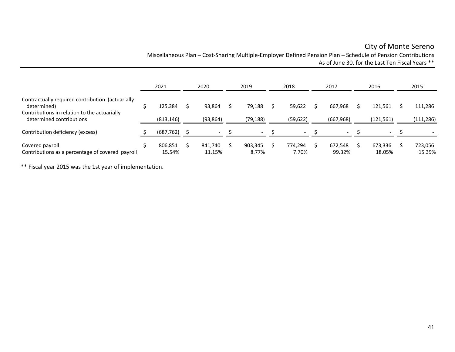Miscellaneous Plan – Cost-Sharing Multiple-Employer Defined Pension Plan – Schedule of Pension Contributions As of June 30, for the Last Ten Fiscal Years \*\*

|                                                                                                                                             |  | 2021                  |  | 2020                     |  | 2019                     |  | 2018                     |  | 2017                  |  | 2016                     |  | 2015                  |
|---------------------------------------------------------------------------------------------------------------------------------------------|--|-----------------------|--|--------------------------|--|--------------------------|--|--------------------------|--|-----------------------|--|--------------------------|--|-----------------------|
| Contractually required contribution (actuarially<br>determined)<br>Contributions in relation to the actuarially<br>determined contributions |  | 125,384<br>(813, 146) |  | 93.864<br>(93, 864)      |  | 79.188<br>(79, 188)      |  | 59,622<br>(59, 622)      |  | 667.968<br>(667, 968) |  | 121,561<br>(121, 561)    |  | 111,286<br>(111, 286) |
| Contribution deficiency (excess)                                                                                                            |  | (687, 762)            |  | $\overline{\phantom{0}}$ |  | $\overline{\phantom{0}}$ |  | $\overline{\phantom{a}}$ |  |                       |  | $\overline{\phantom{0}}$ |  |                       |
| Covered payroll<br>Contributions as a percentage of covered payroll                                                                         |  | 806,851<br>15.54%     |  | 841.740<br>11.15%        |  | 903,345<br>8.77%         |  | 774.294<br>7.70%         |  | 672.548<br>99.32%     |  | 673,336<br>18.05%        |  | 723,056<br>15.39%     |

<span id="page-43-0"></span>\*\* Fiscal year 2015 was the 1st year of implementation.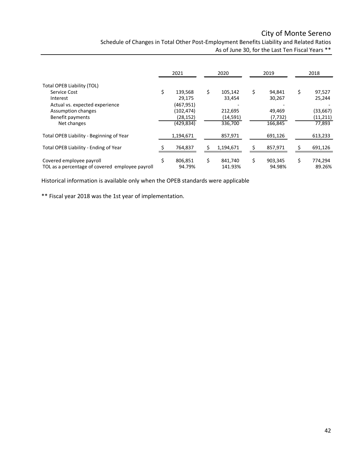Schedule of Changes in Total Other Post-Employment Benefits Liability and Related Ratios As of June 30, for the Last Ten Fiscal Years \*\*

<span id="page-44-0"></span>

|                                                                             |    | 2021              |    | 2020               |    | 2019              |    | 2018              |  |
|-----------------------------------------------------------------------------|----|-------------------|----|--------------------|----|-------------------|----|-------------------|--|
| Total OPEB Liability (TOL)                                                  |    |                   |    |                    |    |                   |    |                   |  |
| Service Cost                                                                | \$ | 139,568           | \$ | 105,142            | \$ | 94,841            | \$ | 97,527            |  |
| Interest                                                                    |    | 29,175            |    | 33,454             |    | 30,267            |    | 25,244            |  |
| Actual vs. expected experience                                              |    | (467, 951)        |    |                    |    |                   |    |                   |  |
| Assumption changes                                                          |    | (102,474)         |    | 212,695            |    | 49,469            |    | (33, 667)         |  |
| Benefit payments                                                            |    | (28,152)          |    | (14, 591)          |    | (7, 732)          |    | (11,211)          |  |
| Net changes                                                                 |    | (429, 834)        |    | 336,700            |    | 166,845           |    | 77,893            |  |
| Total OPEB Liability - Beginning of Year                                    |    | 1,194,671         |    | 857,971            |    | 691,126           |    | 613,233           |  |
| Total OPEB Liability - Ending of Year                                       |    | 764,837           | S  | 1,194,671          | Ś. | 857,971           | S  | 691,126           |  |
| Covered employee payroll<br>TOL as a percentage of covered employee payroll | Ś. | 806,851<br>94.79% | \$ | 841,740<br>141.93% | \$ | 903,345<br>94.98% | \$ | 774,294<br>89.26% |  |

Historical information is available only when the OPEB standards were applicable

\*\* Fiscal year 2018 was the 1st year of implementation.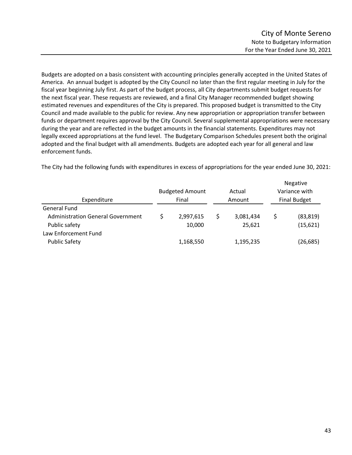<span id="page-45-1"></span><span id="page-45-0"></span>Budgets are adopted on a basis consistent with accounting principles generally accepted in the United States of America. An annual budget is adopted by the City Council no later than the first regular meeting in July for the fiscal year beginning July first. As part of the budget process, all City departments submit budget requests for the next fiscal year. These requests are reviewed, and a final City Manager recommended budget showing estimated revenues and expenditures of the City is prepared. This proposed budget is transmitted to the City Council and made available to the public for review. Any new appropriation or appropriation transfer between funds or department requires approval by the City Council. Several supplemental appropriations were necessary during the year and are reflected in the budget amounts in the financial statements. Expenditures may not legally exceed appropriations at the fund level. The Budgetary Comparison Schedules present both the original adopted and the final budget with all amendments. Budgets are adopted each year for all general and law enforcement funds.

The City had the following funds with expenditures in excess of appropriations for the year ended June 30, 2021:

| Expenditure                       | <b>Budgeted Amount</b><br>Final | Actual<br>Amount | Negative<br>Variance with<br><b>Final Budget</b> |           |  |
|-----------------------------------|---------------------------------|------------------|--------------------------------------------------|-----------|--|
| General Fund                      |                                 |                  |                                                  |           |  |
| Administration General Government | 2,997,615                       | 3,081,434        | S                                                | (83, 819) |  |
| Public safety                     | 10,000                          | 25,621           |                                                  | (15, 621) |  |
| Law Enforcement Fund              |                                 |                  |                                                  |           |  |
| <b>Public Safety</b>              | 1,168,550                       | 1,195,235        |                                                  | (26, 685) |  |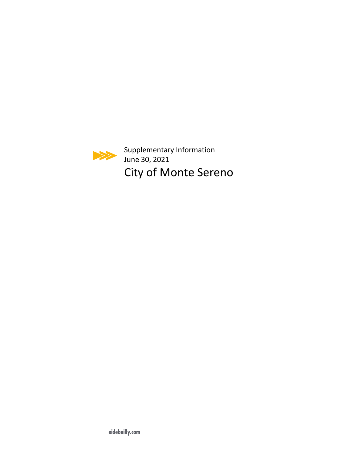<span id="page-46-0"></span>

Supplementary Information June 30, 2021 City of Monte Sereno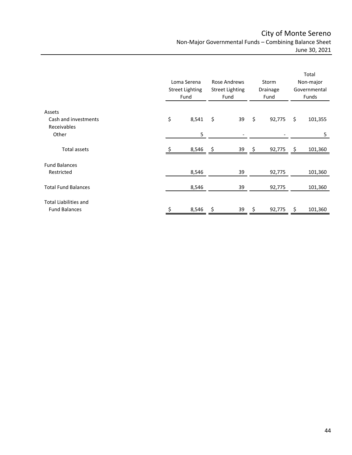Non-Major Governmental Funds – Combining Balance Sheet June 30, 2021

<span id="page-47-0"></span>

|                                                      | Loma Serena<br><b>Street Lighting</b><br>Fund |    |    | Storm<br>Drainage<br>Fund |        | Total<br>Non-major<br>Governmental<br>Funds |         |
|------------------------------------------------------|-----------------------------------------------|----|----|---------------------------|--------|---------------------------------------------|---------|
| Assets                                               |                                               |    |    |                           |        |                                             |         |
| Cash and investments<br>Receivables                  | \$<br>8,541                                   | \$ | 39 | \$                        | 92,775 | \$                                          | 101,355 |
| Other                                                | 5                                             |    |    |                           |        |                                             | 5       |
| Total assets                                         | 8,546                                         | \$ | 39 | \$                        | 92,775 | \$                                          | 101,360 |
| <b>Fund Balances</b><br>Restricted                   | 8,546                                         |    | 39 |                           | 92,775 |                                             | 101,360 |
| <b>Total Fund Balances</b>                           | 8,546                                         |    | 39 |                           | 92,775 |                                             | 101,360 |
| <b>Total Liabilities and</b><br><b>Fund Balances</b> | \$<br>8,546                                   | \$ | 39 | \$                        | 92,775 | \$                                          | 101,360 |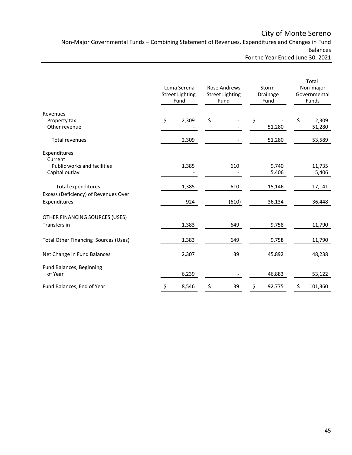<span id="page-48-0"></span>Non-Major Governmental Funds – Combining Statement of Revenues, Expenditures and Changes in Fund Balances

For the Year Ended June 30, 2021

|                                                      |    | Loma Serena<br><b>Street Lighting</b><br>Fund |    | Rose Andrews<br><b>Street Lighting</b><br>Fund |    | Storm<br>Drainage<br>Fund |    | Total<br>Non-major<br>Governmental<br>Funds |  |
|------------------------------------------------------|----|-----------------------------------------------|----|------------------------------------------------|----|---------------------------|----|---------------------------------------------|--|
| Revenues                                             |    |                                               |    |                                                |    |                           |    |                                             |  |
| Property tax<br>Other revenue                        | \$ | 2,309                                         | \$ |                                                | \$ | 51,280                    | \$ | 2,309<br>51,280                             |  |
| <b>Total revenues</b>                                |    | 2,309                                         |    |                                                |    | 51,280                    |    | 53,589                                      |  |
| Expenditures<br>Current                              |    |                                               |    |                                                |    |                           |    |                                             |  |
| Public works and facilities<br>Capital outlay        |    | 1,385                                         |    | 610                                            |    | 9,740<br>5,406            |    | 11,735<br>5,406                             |  |
| <b>Total expenditures</b>                            |    | 1,385                                         |    | 610                                            |    | 15,146                    |    | 17,141                                      |  |
| Excess (Deficiency) of Revenues Over<br>Expenditures |    | 924                                           |    | (610)                                          |    | 36,134                    |    | 36,448                                      |  |
| OTHER FINANCING SOURCES (USES)<br>Transfers in       |    | 1,383                                         |    | 649                                            |    | 9,758                     |    | 11,790                                      |  |
| Total Other Financing Sources (Uses)                 |    | 1,383                                         |    | 649                                            |    | 9,758                     |    | 11,790                                      |  |
| Net Change in Fund Balances                          |    | 2,307                                         |    | 39                                             |    | 45,892                    |    | 48,238                                      |  |
| Fund Balances, Beginning<br>of Year                  |    | 6,239                                         |    |                                                |    | 46,883                    |    | 53,122                                      |  |
| Fund Balances, End of Year                           | \$ | 8,546                                         | Ş  | 39                                             | \$ | 92,775                    | Ş  | 101,360                                     |  |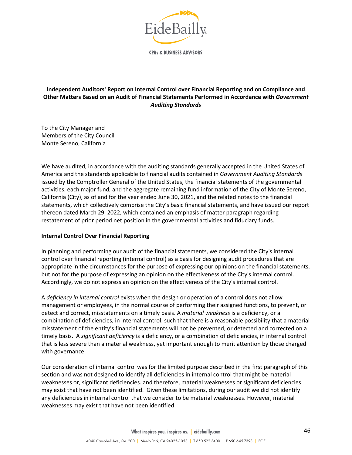

**CPAs & BUSINESS ADVISORS** 

## <span id="page-49-0"></span>**Independent Auditors' Report on Internal Control over Financial Reporting and on Compliance and Other Matters Based on an Audit of Financial Statements Performed in Accordance with** *Government Auditing Standards*

To the City Manager and Members of the City Council Monte Sereno, California

We have audited, in accordance with the auditing standards generally accepted in the United States of America and the standards applicable to financial audits contained in *Government Auditing Standards* issued by the Comptroller General of the United States, the financial statements of the governmental activities, each major fund, and the aggregate remaining fund information of the City of Monte Sereno, California (City), as of and for the year ended June 30, 2021, and the related notes to the financial statements, which collectively comprise the City's basic financial statements, and have issued our report thereon dated March 29, 2022, which contained an emphasis of matter paragraph regarding restatement of prior period net position in the governmental activities and fiduciary funds.

#### **Internal Control Over Financial Reporting**

In planning and performing our audit of the financial statements, we considered the City's internal control over financial reporting (internal control) as a basis for designing audit procedures that are appropriate in the circumstances for the purpose of expressing our opinions on the financial statements, but not for the purpose of expressing an opinion on the effectiveness of the City's internal control. Accordingly, we do not express an opinion on the effectiveness of the City's internal control.

A *deficiency in internal control* exists when the design or operation of a control does not allow management or employees, in the normal course of performing their assigned functions, to prevent, or detect and correct, misstatements on a timely basis. A *material weakness* is a deficiency, or a combination of deficiencies, in internal control, such that there is a reasonable possibility that a material misstatement of the entity's financial statements will not be prevented, or detected and corrected on a timely basis. A *significant deficiency* is a deficiency, or a combination of deficiencies, in internal control that is less severe than a material weakness, yet important enough to merit attention by those charged with governance.

Our consideration of internal control was for the limited purpose described in the first paragraph of this section and was not designed to identify all deficiencies in internal control that might be material weaknesses or, significant deficiencies. and therefore, material weaknesses or significant deficiencies may exist that have not been identified. Given these limitations, during our audit we did not identify any deficiencies in internal control that we consider to be material weaknesses. However, material weaknesses may exist that have not been identified.